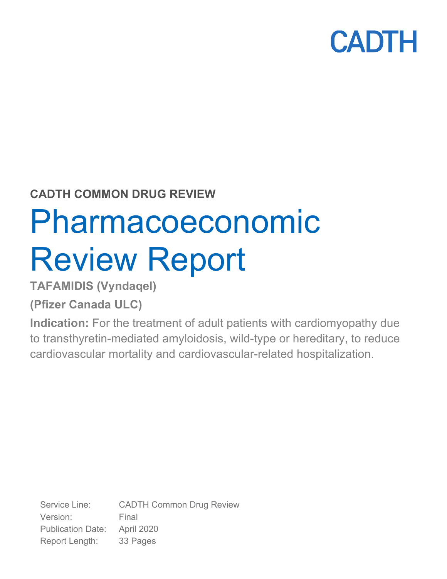### **CADTH COMMON DRUG REVIEW**

# Pharmacoeconomic Review Report

**TAFAMIDIS (Vyndaqel)**

**(Pfizer Canada ULC)**

**Indication:** For the treatment of adult patients with cardiomyopathy due to transthyretin-mediated amyloidosis, wild-type or hereditary, to reduce cardiovascular mortality and cardiovascular-related hospitalization.

Service Line: CADTH Common Drug Review Version: Final Publication Date: April 2020 Report Length: 33 Pages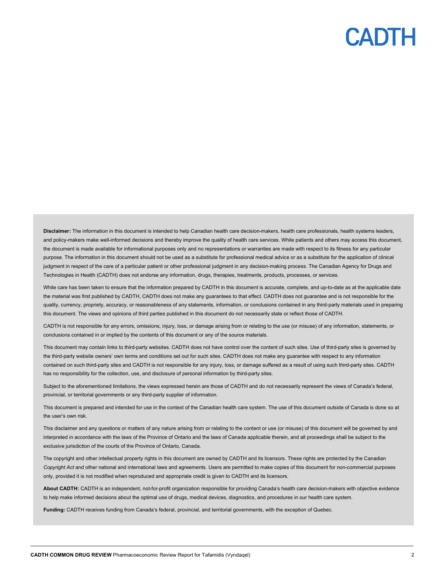**Disclaimer:** The information in this document is intended to help Canadian health care decision-makers, health care professionals, health systems leaders, and policy-makers make well-informed decisions and thereby improve the quality of health care services. While patients and others may access this document, the document is made available for informational purposes only and no representations or warranties are made with respect to its fitness for any particular purpose. The information in this document should not be used as a substitute for professional medical advice or as a substitute for the application of clinical judgment in respect of the care of a particular patient or other professional judgment in any decision-making process. The Canadian Agency for Drugs and Technologies in Health (CADTH) does not endorse any information, drugs, therapies, treatments, products, processes, or services.

While care has been taken to ensure that the information prepared by CADTH in this document is accurate, complete, and up-to-date as at the applicable date the material was first published by CADTH, CADTH does not make any guarantees to that effect. CADTH does not guarantee and is not responsible for the quality, currency, propriety, accuracy, or reasonableness of any statements, information, or conclusions contained in any third-party materials used in preparing this document. The views and opinions of third parties published in this document do not necessarily state or reflect those of CADTH.

CADTH is not responsible for any errors, omissions, injury, loss, or damage arising from or relating to the use (or misuse) of any information, statements, or conclusions contained in or implied by the contents of this document or any of the source materials.

This document may contain links to third-party websites. CADTH does not have control over the content of such sites. Use of third-party sites is governed by the third-party website owners' own terms and conditions set out for such sites. CADTH does not make any guarantee with respect to any information contained on such third-party sites and CADTH is not responsible for any injury, loss, or damage suffered as a result of using such third-party sites. CADTH has no responsibility for the collection, use, and disclosure of personal information by third-party sites.

Subject to the aforementioned limitations, the views expressed herein are those of CADTH and do not necessarily represent the views of Canada's federal, provincial, or territorial governments or any third-party supplier of information.

This document is prepared and intended for use in the context of the Canadian health care system. The use of this document outside of Canada is done so at the user's own risk.

This disclaimer and any questions or matters of any nature arising from or relating to the content or use (or misuse) of this document will be governed by and interpreted in accordance with the laws of the Province of Ontario and the laws of Canada applicable therein, and all proceedings shall be subject to the exclusive jurisdiction of the courts of the Province of Ontario, Canada.

The copyright and other intellectual property rights in this document are owned by CADTH and its licensors. These rights are protected by the Canadian *Copyright Act* and other national and international laws and agreements. Users are permitted to make copies of this document for non-commercial purposes only, provided it is not modified when reproduced and appropriate credit is given to CADTH and its licensors.

**About CADTH:** CADTH is an independent, not-for-profit organization responsible for providing Canada's health care decision-makers with objective evidence to help make informed decisions about the optimal use of drugs, medical devices, diagnostics, and procedures in our health care system.

**Funding:** CADTH receives funding from Canada's federal, provincial, and territorial governments, with the exception of Quebec.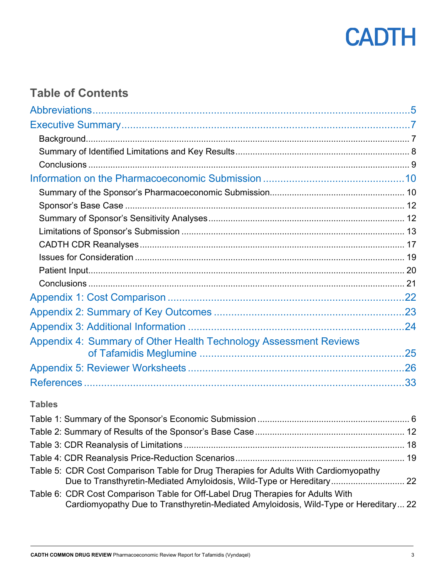

### **Table of Contents**

| Appendix 4: Summary of Other Health Technology Assessment Reviews |  |
|-------------------------------------------------------------------|--|
|                                                                   |  |
|                                                                   |  |

### **Tables**

| Table 5: CDR Cost Comparison Table for Drug Therapies for Adults With Cardiomyopathy<br>Due to Transthyretin-Mediated Amyloidosis, Wild-Type or Hereditary 22           |  |
|-------------------------------------------------------------------------------------------------------------------------------------------------------------------------|--|
| Table 6: CDR Cost Comparison Table for Off-Label Drug Therapies for Adults With<br>Cardiomyopathy Due to Transthyretin-Mediated Amyloidosis, Wild-Type or Hereditary 22 |  |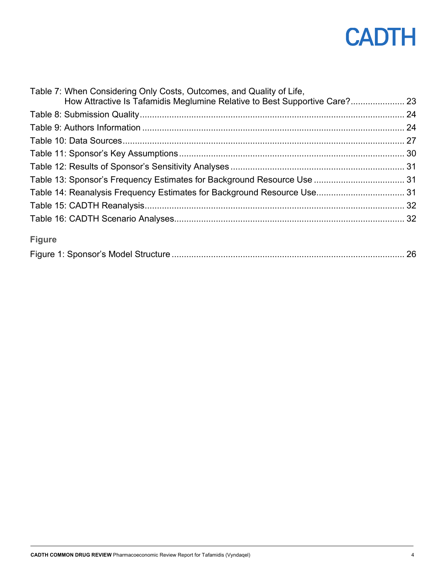| Table 7: When Considering Only Costs, Outcomes, and Quality of Life,       |  |
|----------------------------------------------------------------------------|--|
| How Attractive Is Tafamidis Meglumine Relative to Best Supportive Care? 23 |  |
|                                                                            |  |
|                                                                            |  |
|                                                                            |  |
|                                                                            |  |
|                                                                            |  |
|                                                                            |  |
|                                                                            |  |
|                                                                            |  |
|                                                                            |  |
| <b>Figure</b>                                                              |  |
|                                                                            |  |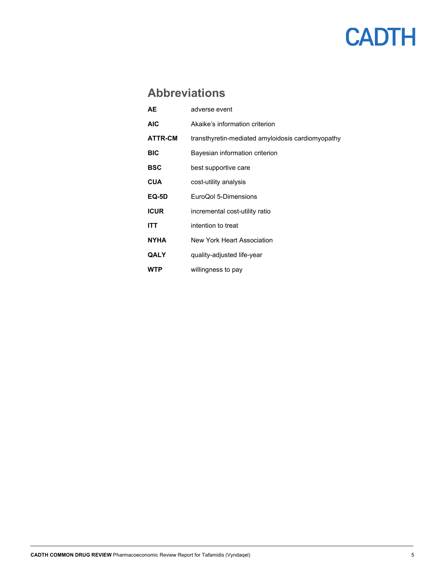### **Abbreviations**

<span id="page-4-0"></span>

| AE.            | adverse event                                     |
|----------------|---------------------------------------------------|
| <b>AIC</b>     | Akaike's information criterion                    |
| <b>ATTR-CM</b> | transthyretin-mediated amyloidosis cardiomyopathy |
| <b>BIC</b>     | Bayesian information criterion                    |
| BSC            | best supportive care                              |
| <b>CUA</b>     | cost-utility analysis                             |
| EQ-5D          | EuroQol 5-Dimensions                              |
| <b>ICUR</b>    | incremental cost-utility ratio                    |
| ITT            | intention to treat                                |
| <b>NYHA</b>    | New York Heart Association                        |
| QALY           | quality-adjusted life-year                        |
| WTP            | willingness to pay                                |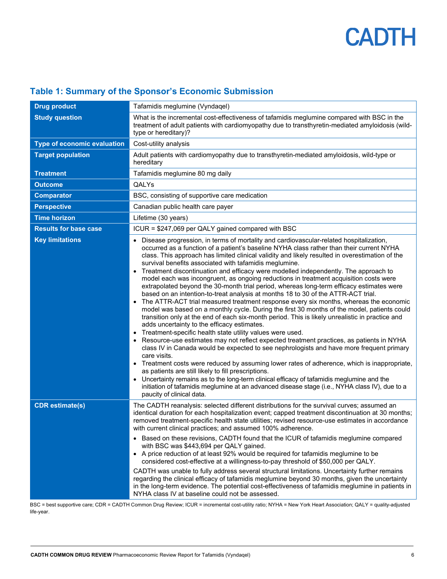| <b>Drug product</b>                | Tafamidis meglumine (Vyndaqel)                                                                                                                                                                                                                                                                                                                                                                                                                                                                                                                                                                                                                                                                                                                                                                                                                                                                                                                                                                                                                                                                                                                                                                                                                                                                                                                                                                                                                                                                                                                                                                                                                                                                                                                                            |
|------------------------------------|---------------------------------------------------------------------------------------------------------------------------------------------------------------------------------------------------------------------------------------------------------------------------------------------------------------------------------------------------------------------------------------------------------------------------------------------------------------------------------------------------------------------------------------------------------------------------------------------------------------------------------------------------------------------------------------------------------------------------------------------------------------------------------------------------------------------------------------------------------------------------------------------------------------------------------------------------------------------------------------------------------------------------------------------------------------------------------------------------------------------------------------------------------------------------------------------------------------------------------------------------------------------------------------------------------------------------------------------------------------------------------------------------------------------------------------------------------------------------------------------------------------------------------------------------------------------------------------------------------------------------------------------------------------------------------------------------------------------------------------------------------------------------|
| <b>Study question</b>              | What is the incremental cost-effectiveness of tafamidis meglumine compared with BSC in the<br>treatment of adult patients with cardiomyopathy due to transthyretin-mediated amyloidosis (wild-<br>type or hereditary)?                                                                                                                                                                                                                                                                                                                                                                                                                                                                                                                                                                                                                                                                                                                                                                                                                                                                                                                                                                                                                                                                                                                                                                                                                                                                                                                                                                                                                                                                                                                                                    |
| <b>Type of economic evaluation</b> | Cost-utility analysis                                                                                                                                                                                                                                                                                                                                                                                                                                                                                                                                                                                                                                                                                                                                                                                                                                                                                                                                                                                                                                                                                                                                                                                                                                                                                                                                                                                                                                                                                                                                                                                                                                                                                                                                                     |
| <b>Target population</b>           | Adult patients with cardiomyopathy due to transthyretin-mediated amyloidosis, wild-type or<br>hereditary                                                                                                                                                                                                                                                                                                                                                                                                                                                                                                                                                                                                                                                                                                                                                                                                                                                                                                                                                                                                                                                                                                                                                                                                                                                                                                                                                                                                                                                                                                                                                                                                                                                                  |
| <b>Treatment</b>                   | Tafamidis meglumine 80 mg daily                                                                                                                                                                                                                                                                                                                                                                                                                                                                                                                                                                                                                                                                                                                                                                                                                                                                                                                                                                                                                                                                                                                                                                                                                                                                                                                                                                                                                                                                                                                                                                                                                                                                                                                                           |
| <b>Outcome</b>                     | QALYs                                                                                                                                                                                                                                                                                                                                                                                                                                                                                                                                                                                                                                                                                                                                                                                                                                                                                                                                                                                                                                                                                                                                                                                                                                                                                                                                                                                                                                                                                                                                                                                                                                                                                                                                                                     |
| <b>Comparator</b>                  | BSC, consisting of supportive care medication                                                                                                                                                                                                                                                                                                                                                                                                                                                                                                                                                                                                                                                                                                                                                                                                                                                                                                                                                                                                                                                                                                                                                                                                                                                                                                                                                                                                                                                                                                                                                                                                                                                                                                                             |
| <b>Perspective</b>                 | Canadian public health care payer                                                                                                                                                                                                                                                                                                                                                                                                                                                                                                                                                                                                                                                                                                                                                                                                                                                                                                                                                                                                                                                                                                                                                                                                                                                                                                                                                                                                                                                                                                                                                                                                                                                                                                                                         |
| <b>Time horizon</b>                | Lifetime (30 years)                                                                                                                                                                                                                                                                                                                                                                                                                                                                                                                                                                                                                                                                                                                                                                                                                                                                                                                                                                                                                                                                                                                                                                                                                                                                                                                                                                                                                                                                                                                                                                                                                                                                                                                                                       |
| <b>Results for base case</b>       | ICUR = \$247,069 per QALY gained compared with BSC                                                                                                                                                                                                                                                                                                                                                                                                                                                                                                                                                                                                                                                                                                                                                                                                                                                                                                                                                                                                                                                                                                                                                                                                                                                                                                                                                                                                                                                                                                                                                                                                                                                                                                                        |
| <b>Key limitations</b>             | • Disease progression, in terms of mortality and cardiovascular-related hospitalization,<br>occurred as a function of a patient's baseline NYHA class rather than their current NYHA<br>class. This approach has limited clinical validity and likely resulted in overestimation of the<br>survival benefits associated with tafamidis meglumine.<br>Treatment discontinuation and efficacy were modelled independently. The approach to<br>$\bullet$<br>model each was incongruent, as ongoing reductions in treatment acquisition costs were<br>extrapolated beyond the 30-month trial period, whereas long-term efficacy estimates were<br>based on an intention-to-treat analysis at months 18 to 30 of the ATTR-ACT trial.<br>The ATTR-ACT trial measured treatment response every six months, whereas the economic<br>$\bullet$<br>model was based on a monthly cycle. During the first 30 months of the model, patients could<br>transition only at the end of each six-month period. This is likely unrealistic in practice and<br>adds uncertainty to the efficacy estimates.<br>Treatment-specific health state utility values were used.<br>$\bullet$<br>Resource-use estimates may not reflect expected treatment practices, as patients in NYHA<br>$\bullet$<br>class IV in Canada would be expected to see nephrologists and have more frequent primary<br>care visits.<br>• Treatment costs were reduced by assuming lower rates of adherence, which is inappropriate,<br>as patients are still likely to fill prescriptions.<br>• Uncertainty remains as to the long-term clinical efficacy of tafamidis meglumine and the<br>initiation of tafamidis meglumine at an advanced disease stage (i.e., NYHA class IV), due to a<br>paucity of clinical data. |
| <b>CDR</b> estimate(s)             | The CADTH reanalysis: selected different distributions for the survival curves; assumed an<br>identical duration for each hospitalization event; capped treatment discontinuation at 30 months;<br>removed treatment-specific health state utilities; revised resource-use estimates in accordance<br>with current clinical practices; and assumed 100% adherence.<br>• Based on these revisions, CADTH found that the ICUR of tafamidis meglumine compared<br>with BSC was \$443,694 per QALY gained.<br>• A price reduction of at least 92% would be required for tafamidis meglumine to be<br>considered cost-effective at a willingness-to-pay threshold of \$50,000 per QALY.<br>CADTH was unable to fully address several structural limitations. Uncertainty further remains<br>regarding the clinical efficacy of tafamidis meglumine beyond 30 months, given the uncertainty<br>in the long-term evidence. The potential cost-effectiveness of tafamidis meglumine in patients in<br>NYHA class IV at baseline could not be assessed.                                                                                                                                                                                                                                                                                                                                                                                                                                                                                                                                                                                                                                                                                                                            |

### <span id="page-5-0"></span>**Table 1: Summary of the Sponsor's Economic Submission**

BSC = best supportive care; CDR = CADTH Common Drug Review; ICUR = incremental cost-utility ratio; NYHA = New York Heart Association; QALY = quality-adjusted life-year.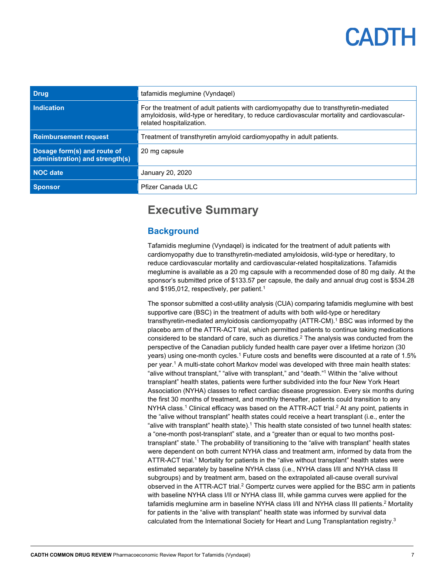<span id="page-6-0"></span>

| <b>Drug</b>                                                    | tafamidis meglumine (Vyndaqel)                                                                                                                                                                                      |
|----------------------------------------------------------------|---------------------------------------------------------------------------------------------------------------------------------------------------------------------------------------------------------------------|
| <b>Indication</b>                                              | For the treatment of adult patients with cardiomy opathy due to transthy retin-mediated<br>amyloidosis, wild-type or hereditary, to reduce cardiovascular mortality and cardiovascular-<br>related hospitalization. |
| <b>Reimbursement request</b>                                   | Treatment of transthyretin amyloid cardiomyopathy in adult patients.                                                                                                                                                |
| Dosage form(s) and route of<br>administration) and strength(s) | 20 mg capsule                                                                                                                                                                                                       |
| NOC date                                                       | January 20, 2020                                                                                                                                                                                                    |
| Sponsor                                                        | Pfizer Canada ULC                                                                                                                                                                                                   |

### **Executive Summary**

#### <span id="page-6-1"></span>**Background**

Tafamidis meglumine (Vyndaqel) is indicated for the treatment of adult patients with cardiomyopathy due to transthyretin-mediated amyloidosis, wild-type or hereditary, to reduce cardiovascular mortality and cardiovascular-related hospitalizations. Tafamidis meglumine is available as a 20 mg capsule with a recommended dose of 80 mg daily. At the sponsor's submitted price of \$133.57 per capsule, the daily and annual drug cost is \$534.28 and \$195,012, respectively, per patient. 1

The sponsor submitted a cost-utility analysis (CUA) comparing tafamidis meglumine with best supportive care (BSC) in the treatment of adults with both wild-type or hereditary transthyretin-mediated amyloidosis cardiomyopathy (ATTR-CM). <sup>1</sup> BSC was informed by the placebo arm of the ATTR-ACT trial, which permitted patients to continue taking medications considered to be standard of care, such as diuretics.<sup>2</sup> The analysis was conducted from the perspective of the Canadian publicly funded health care payer over a lifetime horizon (30 years) using one-month cycles.<sup>1</sup> Future costs and benefits were discounted at a rate of 1.5% per year.1 A multi-state cohort Markov model was developed with three main health states: "alive without transplant," "alive with transplant," and "death." <sup>1</sup> Within the "alive without transplant" health states, patients were further subdivided into the four New York Heart Association (NYHA) classes to reflect cardiac disease progression. Every six months during the first 30 months of treatment, and monthly thereafter, patients could transition to any NYHA class. <sup>1</sup> Clinical efficacy was based on the ATTR-ACT trial. <sup>2</sup> At any point, patients in the "alive without transplant" health states could receive a heart transplant (i.e., enter the "alive with transplant" health state).<sup>1</sup> This health state consisted of two tunnel health states: a "one-month post-transplant" state, and a "greater than or equal to two months posttransplant" state. <sup>1</sup> The probability of transitioning to the "alive with transplant" health states were dependent on both current NYHA class and treatment arm, informed by data from the ATTR-ACT trial.1 Mortality for patients in the "alive without transplant" health states were estimated separately by baseline NYHA class (i.e., NYHA class I/II and NYHA class III subgroups) and by treatment arm, based on the extrapolated all-cause overall survival observed in the ATTR-ACT trial. <sup>2</sup> Gompertz curves were applied for the BSC arm in patients with baseline NYHA class I/II or NYHA class III, while gamma curves were applied for the tafamidis meglumine arm in baseline NYHA class I/II and NYHA class III patients.<sup>2</sup> Mortality for patients in the "alive with transplant" health state was informed by survival data calculated from the International Society for Heart and Lung Transplantation registry.<sup>3</sup>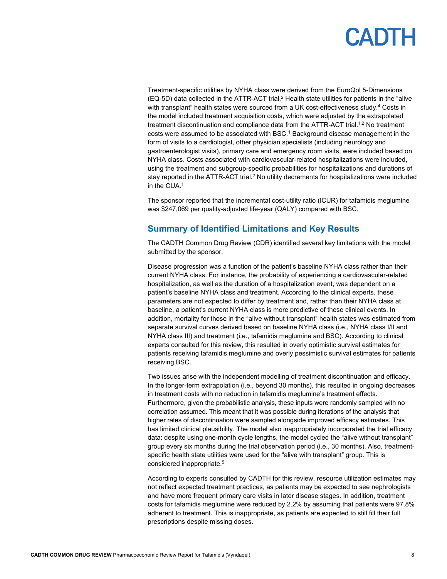Treatment-specific utilities by NYHA class were derived from the EuroQol 5-Dimensions (EQ-5D) data collected in the ATTR-ACT trial.2 Health state utilities for patients in the "alive with transplant" health states were sourced from a UK cost-effectiveness study.<sup>4</sup> Costs in the model included treatment acquisition costs, which were adjusted by the extrapolated treatment discontinuation and compliance data from the ATTR-ACT trial.<sup>1,2</sup> No treatment costs were assumed to be associated with BSC. <sup>1</sup> Background disease management in the form of visits to a cardiologist, other physician specialists (including neurology and gastroenterologist visits), primary care and emergency room visits, were included based on NYHA class. Costs associated with cardiovascular-related hospitalizations were included, using the treatment and subgroup-specific probabilities for hospitalizations and durations of stay reported in the ATTR-ACT trial.<sup>2</sup> No utility decrements for hospitalizations were included in the CUA.1

The sponsor reported that the incremental cost-utility ratio (ICUR) for tafamidis meglumine was \$247,069 per quality-adjusted life-year (QALY) compared with BSC.

#### <span id="page-7-0"></span>**Summary of Identified Limitations and Key Results**

The CADTH Common Drug Review (CDR) identified several key limitations with the model submitted by the sponsor.

Disease progression was a function of the patient's baseline NYHA class rather than their current NYHA class. For instance, the probability of experiencing a cardiovascular-related hospitalization, as well as the duration of a hospitalization event, was dependent on a patient's baseline NYHA class and treatment. According to the clinical experts, these parameters are not expected to differ by treatment and, rather than their NYHA class at baseline, a patient's current NYHA class is more predictive of these clinical events. In addition, mortality for those in the "alive without transplant" health states was estimated from separate survival curves derived based on baseline NYHA class (i.e., NYHA class I/II and NYHA class III) and treatment (i.e., tafamidis meglumine and BSC). According to clinical experts consulted for this review, this resulted in overly optimistic survival estimates for patients receiving tafamidis meglumine and overly pessimistic survival estimates for patients receiving BSC.

Two issues arise with the independent modelling of treatment discontinuation and efficacy. In the longer-term extrapolation (i.e., beyond 30 months), this resulted in ongoing decreases in treatment costs with no reduction in tafamidis meglumine's treatment effects. Furthermore, given the probabilistic analysis, these inputs were randomly sampled with no correlation assumed. This meant that it was possible during iterations of the analysis that higher rates of discontinuation were sampled alongside improved efficacy estimates. This has limited clinical plausibility. The model also inappropriately incorporated the trial efficacy data: despite using one-month cycle lengths, the model cycled the "alive without transplant" group every six months during the trial observation period (i.e., 30 months). Also, treatmentspecific health state utilities were used for the "alive with transplant" group. This is considered inappropriate.5

According to experts consulted by CADTH for this review, resource utilization estimates may not reflect expected treatment practices, as patients may be expected to see nephrologists and have more frequent primary care visits in later disease stages. In addition, treatment costs for tafamidis meglumine were reduced by 2.2% by assuming that patients were 97.8% adherent to treatment. This is inappropriate, as patients are expected to still fill their full prescriptions despite missing doses.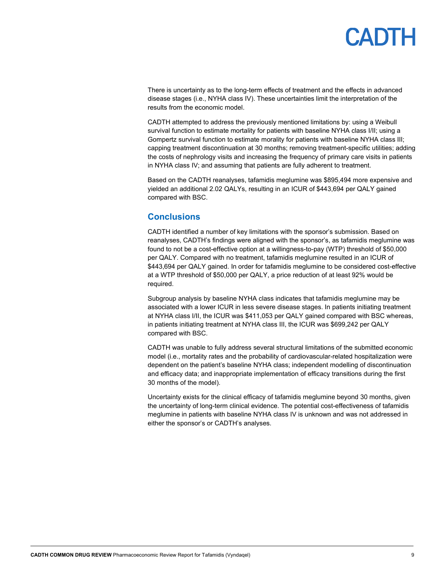There is uncertainty as to the long-term effects of treatment and the effects in advanced disease stages (i.e., NYHA class IV). These uncertainties limit the interpretation of the results from the economic model.

CADTH attempted to address the previously mentioned limitations by: using a Weibull survival function to estimate mortality for patients with baseline NYHA class I/II; using a Gompertz survival function to estimate morality for patients with baseline NYHA class III; capping treatment discontinuation at 30 months; removing treatment-specific utilities; adding the costs of nephrology visits and increasing the frequency of primary care visits in patients in NYHA class IV; and assuming that patients are fully adherent to treatment.

Based on the CADTH reanalyses, tafamidis meglumine was \$895,494 more expensive and yielded an additional 2.02 QALYs, resulting in an ICUR of \$443,694 per QALY gained compared with BSC.

#### <span id="page-8-0"></span>**Conclusions**

CADTH identified a number of key limitations with the sponsor's submission. Based on reanalyses, CADTH's findings were aligned with the sponsor's, as tafamidis meglumine was found to not be a cost-effective option at a willingness-to-pay (WTP) threshold of \$50,000 per QALY. Compared with no treatment, tafamidis meglumine resulted in an ICUR of \$443,694 per QALY gained. In order for tafamidis meglumine to be considered cost-effective at a WTP threshold of \$50,000 per QALY, a price reduction of at least 92% would be required.

Subgroup analysis by baseline NYHA class indicates that tafamidis meglumine may be associated with a lower ICUR in less severe disease stages. In patients initiating treatment at NYHA class I/II, the ICUR was \$411,053 per QALY gained compared with BSC whereas, in patients initiating treatment at NYHA class III, the ICUR was \$699,242 per QALY compared with BSC.

CADTH was unable to fully address several structural limitations of the submitted economic model (i.e., mortality rates and the probability of cardiovascular-related hospitalization were dependent on the patient's baseline NYHA class; independent modelling of discontinuation and efficacy data; and inappropriate implementation of efficacy transitions during the first 30 months of the model).

Uncertainty exists for the clinical efficacy of tafamidis meglumine beyond 30 months, given the uncertainty of long-term clinical evidence. The potential cost-effectiveness of tafamidis meglumine in patients with baseline NYHA class IV is unknown and was not addressed in either the sponsor's or CADTH's analyses.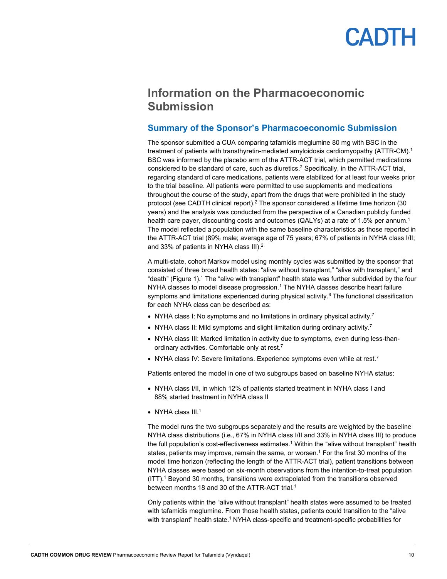### <span id="page-9-0"></span>**Information on the Pharmacoeconomic Submission**

#### <span id="page-9-1"></span>**Summary of the Sponsor's Pharmacoeconomic Submission**

The sponsor submitted a CUA comparing tafamidis meglumine 80 mg with BSC in the treatment of patients with transthyretin-mediated amyloidosis cardiomyopathy (ATTR-CM).<sup>1</sup> BSC was informed by the placebo arm of the ATTR-ACT trial, which permitted medications considered to be standard of care, such as diuretics.2 Specifically, in the ATTR-ACT trial, regarding standard of care medications, patients were stabilized for at least four weeks prior to the trial baseline. All patients were permitted to use supplements and medications throughout the course of the study, apart from the drugs that were prohibited in the study protocol (see CADTH clinical report).2 The sponsor considered a lifetime time horizon (30 years) and the analysis was conducted from the perspective of a Canadian publicly funded health care payer, discounting costs and outcomes (QALYs) at a rate of 1.5% per annum.<sup>1</sup> The model reflected a population with the same baseline characteristics as those reported in the ATTR-ACT trial (89% male; average age of 75 years; 67% of patients in NYHA class I/II; and 33% of patients in NYHA class III).2

A multi-state, cohort Markov model using monthly cycles was submitted by the sponsor that consisted of three broad health states: "alive without transplant," "alive with transplant," and "death" [\(Figure 1\)](#page-25-1). <sup>1</sup> The "alive with transplant" health state was further subdivided by the four NYHA classes to model disease progression.<sup>1</sup> The NYHA classes describe heart failure symptoms and limitations experienced during physical activity.<sup>6</sup> The functional classification for each NYHA class can be described as:

- NYHA class I: No symptoms and no limitations in ordinary physical activity.<sup>7</sup>
- NYHA class II: Mild symptoms and slight limitation during ordinary activity.<sup>7</sup>
- NYHA class III: Marked limitation in activity due to symptoms, even during less-thanordinary activities. Comfortable only at rest.7
- NYHA class IV: Severe limitations. Experience symptoms even while at rest.<sup>7</sup>

Patients entered the model in one of two subgroups based on baseline NYHA status:

- NYHA class I/II, in which 12% of patients started treatment in NYHA class I and 88% started treatment in NYHA class II
- NYHA class  $III<sup>1</sup>$

The model runs the two subgroups separately and the results are weighted by the baseline NYHA class distributions (i.e., 67% in NYHA class I/II and 33% in NYHA class III) to produce the full population's cost-effectiveness estimates.<sup>1</sup> Within the "alive without transplant" health states, patients may improve, remain the same, or worsen.<sup>1</sup> For the first 30 months of the model time horizon (reflecting the length of the ATTR-ACT trial), patient transitions between NYHA classes were based on six-month observations from the intention-to-treat population (ITT). <sup>1</sup> Beyond 30 months, transitions were extrapolated from the transitions observed between months 18 and 30 of the ATTR-ACT trial.<sup>1</sup>

Only patients within the "alive without transplant" health states were assumed to be treated with tafamidis meglumine. From those health states, patients could transition to the "alive with transplant" health state. <sup>1</sup> NYHA class-specific and treatment-specific probabilities for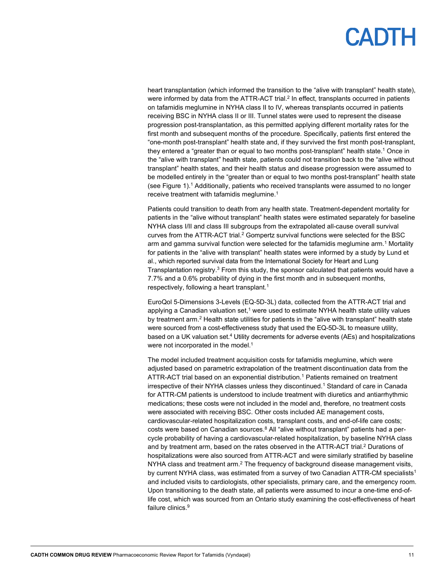heart transplantation (which informed the transition to the "alive with transplant" health state), were informed by data from the ATTR-ACT trial.<sup>2</sup> In effect, transplants occurred in patients on tafamidis meglumine in NYHA class II to IV, whereas transplants occurred in patients receiving BSC in NYHA class II or III. Tunnel states were used to represent the disease progression post-transplantation, as this permitted applying different mortality rates for the first month and subsequent months of the procedure. Specifically, patients first entered the "one-month post-transplant" health state and, if they survived the first month post-transplant, they entered a "greater than or equal to two months post-transplant" health state.1 Once in the "alive with transplant" health state, patients could not transition back to the "alive without transplant" health states, and their health status and disease progression were assumed to be modelled entirely in the "greater than or equal to two months post-transplant" health state (se[e Figure 1\)](#page-25-1). <sup>1</sup> Additionally, patients who received transplants were assumed to no longer receive treatment with tafamidis meglumine. 1

Patients could transition to death from any health state. Treatment-dependent mortality for patients in the "alive without transplant" health states were estimated separately for baseline NYHA class I/II and class III subgroups from the extrapolated all-cause overall survival curves from the ATTR-ACT trial.<sup>2</sup> Gompertz survival functions were selected for the BSC arm and gamma survival function were selected for the tafamidis meglumine arm.<sup>1</sup> Mortality for patients in the "alive with transplant" health states were informed by a study by Lund et al., which reported survival data from the International Society for Heart and Lung Transplantation registry.<sup>3</sup> From this study, the sponsor calculated that patients would have a 7.7% and a 0.6% probability of dying in the first month and in subsequent months, respectively, following a heart transplant.1

EuroQol 5-Dimensions 3-Levels (EQ-5D-3L) data, collected from the ATTR-ACT trial and applying a Canadian valuation set, $^1$  were used to estimate NYHA health state utility values by treatment arm.2 Health state utilities for patients in the "alive with transplant" health state were sourced from a cost-effectiveness study that used the EQ-5D-3L to measure utility, based on a UK valuation set. <sup>4</sup> Utility decrements for adverse events (AEs) and hospitalizations were not incorporated in the model.<sup>1</sup>

The model included treatment acquisition costs for tafamidis meglumine, which were adjusted based on parametric extrapolation of the treatment discontinuation data from the ATTR-ACT trial based on an exponential distribution.<sup>1</sup> Patients remained on treatment irrespective of their NYHA classes unless they discontinued. <sup>1</sup> Standard of care in Canada for ATTR-CM patients is understood to include treatment with diuretics and antiarrhythmic medications; these costs were not included in the model and, therefore, no treatment costs were associated with receiving BSC. Other costs included AE management costs, cardiovascular-related hospitalization costs, transplant costs, and end-of-life care costs; costs were based on Canadian sources. <sup>8</sup> All "alive without transplant" patients had a percycle probability of having a cardiovascular-related hospitalization, by baseline NYHA class and by treatment arm, based on the rates observed in the ATTR-ACT trial. <sup>2</sup> Durations of hospitalizations were also sourced from ATTR-ACT and were similarly stratified by baseline NYHA class and treatment arm.<sup>2</sup> The frequency of background disease management visits, by current NYHA class, was estimated from a survey of two Canadian ATTR-CM specialists<sup>1</sup> and included visits to cardiologists, other specialists, primary care, and the emergency room. Upon transitioning to the death state, all patients were assumed to incur a one-time end-oflife cost, which was sourced from an Ontario study examining the cost-effectiveness of heart failure clinics.<sup>9</sup>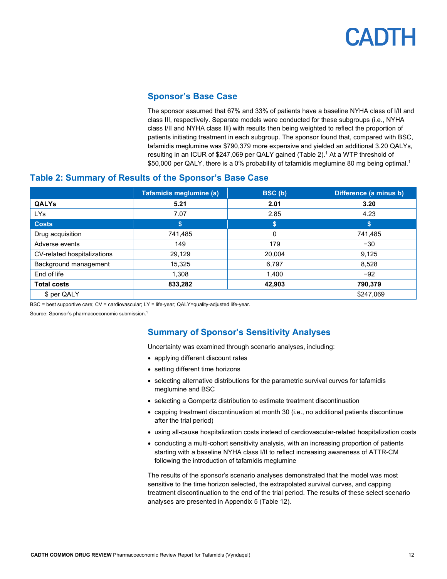#### **Sponsor's Base Case**

The sponsor assumed that 67% and 33% of patients have a baseline NYHA class of I/II and class III, respectively. Separate models were conducted for these subgroups (i.e., NYHA class I/II and NYHA class III) with results then being weighted to reflect the proportion of patients initiating treatment in each subgroup. The sponsor found that, compared with BSC, tafamidis meglumine was \$790,379 more expensive and yielded an additional 3.20 QALYs, resulting in an ICUR of \$247,069 per QALY gained [\(Table 2\)](#page-11-2). <sup>1</sup> At a WTP threshold of \$50,000 per QALY, there is a 0% probability of tafamidis meglumine 80 mg being optimal.<sup>1</sup>

#### <span id="page-11-2"></span><span id="page-11-0"></span>**Table 2: Summary of Results of the Sponsor's Base Case**

|                             | Tafamidis meglumine (a) | BSC (b) | Difference (a minus b) |
|-----------------------------|-------------------------|---------|------------------------|
| <b>QALYs</b>                | 5.21                    | 2.01    | 3.20                   |
| LYs                         | 7.07                    | 2.85    | 4.23                   |
| <b>Costs</b>                | S                       | \$      | \$                     |
| Drug acquisition            | 741,485                 | 0       | 741,485                |
| Adverse events              | 149                     | 179     | $-30$                  |
| CV-related hospitalizations | 29,129                  | 20,004  | 9,125                  |
| Background management       | 15,325                  | 6,797   | 8,528                  |
| End of life                 | 1,308                   | 1,400   | $-92$                  |
| <b>Total costs</b>          | 833,282                 | 42,903  | 790,379                |
| \$ per QALY                 |                         |         | \$247,069              |

BSC = best supportive care; CV = cardiovascular; LY = life-year; QALY=quality-adjusted life-year.

<span id="page-11-1"></span>Source: Sponsor's pharmacoeconomic submission. 1

#### **Summary of Sponsor's Sensitivity Analyses**

Uncertainty was examined through scenario analyses, including:

- applying different discount rates
- setting different time horizons
- selecting alternative distributions for the parametric survival curves for tafamidis meglumine and BSC
- selecting a Gompertz distribution to estimate treatment discontinuation
- capping treatment discontinuation at month 30 (i.e., no additional patients discontinue after the trial period)
- using all-cause hospitalization costs instead of cardiovascular-related hospitalization costs
- conducting a multi-cohort sensitivity analysis, with an increasing proportion of patients starting with a baseline NYHA class I/II to reflect increasing awareness of ATTR-CM following the introduction of tafamidis meglumine

The results of the sponsor's scenario analyses demonstrated that the model was most sensitive to the time horizon selected, the extrapolated survival curves, and capping treatment discontinuation to the end of the trial period. The results of these select scenario analyses are presented in Appendix 5 [\(Table 12\)](#page-30-0).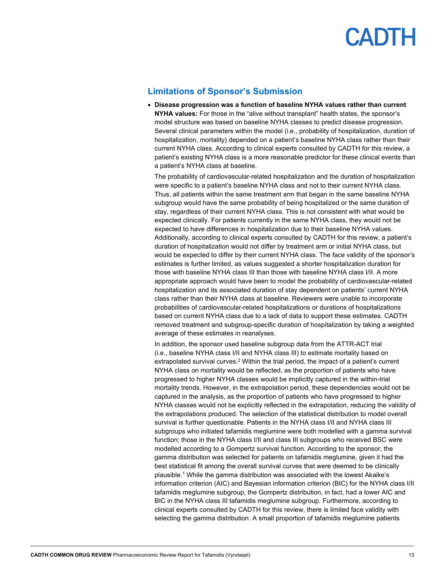#### **Limitations of Sponsor's Submission**

<span id="page-12-0"></span>• **Disease progression was a function of baseline NYHA values rather than current NYHA values:** For those in the "alive without transplant" health states, the sponsor's model structure was based on baseline NYHA classes to predict disease progression. Several clinical parameters within the model (i.e., probability of hospitalization, duration of hospitalization, mortality) depended on a patient's baseline NYHA class rather than their current NYHA class. According to clinical experts consulted by CADTH for this review, a patient's existing NYHA class is a more reasonable predictor for these clinical events than a patient's NYHA class at baseline.

The probability of cardiovascular-related hospitalization and the duration of hospitalization were specific to a patient's baseline NYHA class and not to their current NYHA class. Thus, all patients within the same treatment arm that began in the same baseline NYHA subgroup would have the same probability of being hospitalized or the same duration of stay, regardless of their current NYHA class. This is not consistent with what would be expected clinically. For patients currently in the same NYHA class, they would not be expected to have differences in hospitalization due to their baseline NYHA values. Additionally, according to clinical experts consulted by CADTH for this review, a patient's duration of hospitalization would not differ by treatment arm or initial NYHA class, but would be expected to differ by their current NYHA class. The face validity of the sponsor's estimates is further limited, as values suggested a shorter hospitalization duration for those with baseline NYHA class III than those with baseline NYHA class I/II. A more appropriate approach would have been to model the probability of cardiovascular-related hospitalization and its associated duration of stay dependent on patients' current NYHA class rather than their NYHA class at baseline. Reviewers were unable to incorporate probabilities of cardiovascular-related hospitalizations or durations of hospitalizations based on current NYHA class due to a lack of data to support these estimates. CADTH removed treatment and subgroup-specific duration of hospitalization by taking a weighted average of these estimates in reanalyses.

In addition, the sponsor used baseline subgroup data from the ATTR-ACT trial (i.e., baseline NYHA class I/II and NYHA class III) to estimate mortality based on extrapolated survival curves.<sup>2</sup> Within the trial period, the impact of a patient's current NYHA class on mortality would be reflected, as the proportion of patients who have progressed to higher NYHA classes would be implicitly captured in the within-trial mortality trends. However, in the extrapolation period, these dependencies would not be captured in the analysis, as the proportion of patients who have progressed to higher NYHA classes would not be explicitly reflected in the extrapolation, reducing the validity of the extrapolations produced. The selection of the statistical distribution to model overall survival is further questionable. Patients in the NYHA class I/II and NYHA class III subgroups who initiated tafamidis meglumine were both modelled with a gamma survival function; those in the NYHA class I/II and class III subgroups who received BSC were modelled according to a Gompertz survival function. According to the sponsor, the gamma distribution was selected for patients on tafamidis meglumine, given it had the best statistical fit among the overall survival curves that were deemed to be clinically plausible.<sup>1</sup> While the gamma distribution was associated with the lowest Akaike's information criterion (AIC) and Bayesian information criterion (BIC) for the NYHA class I/II tafamidis meglumine subgroup, the Gompertz distribution, in fact, had a lower AIC and BIC in the NYHA class III tafamidis meglumine subgroup. Furthermore, according to clinical experts consulted by CADTH for this review, there is limited face validity with selecting the gamma distribution. A small proportion of tafamidis meglumine patients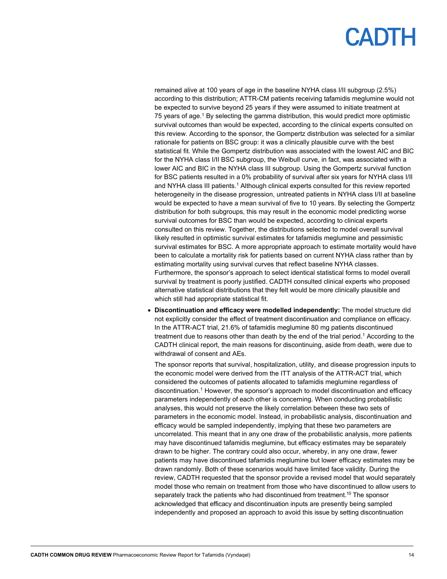remained alive at 100 years of age in the baseline NYHA class I/II subgroup (2.5%) according to this distribution; ATTR-CM patients receiving tafamidis meglumine would not be expected to survive beyond 25 years if they were assumed to initiate treatment at 75 years of age. <sup>1</sup> By selecting the gamma distribution, this would predict more optimistic survival outcomes than would be expected, according to the clinical experts consulted on this review. According to the sponsor, the Gompertz distribution was selected for a similar rationale for patients on BSC group: it was a clinically plausible curve with the best statistical fit. While the Gompertz distribution was associated with the lowest AIC and BIC for the NYHA class I/II BSC subgroup, the Weibull curve, in fact, was associated with a lower AIC and BIC in the NYHA class III subgroup. Using the Gompertz survival function for BSC patients resulted in a 0% probability of survival after six years for NYHA class I/II and NYHA class III patients.<sup>1</sup> Although clinical experts consulted for this review reported heterogeneity in the disease progression, untreated patients in NYHA class I/II at baseline would be expected to have a mean survival of five to 10 years. By selecting the Gompertz distribution for both subgroups, this may result in the economic model predicting worse survival outcomes for BSC than would be expected, according to clinical experts consulted on this review. Together, the distributions selected to model overall survival likely resulted in optimistic survival estimates for tafamidis meglumine and pessimistic survival estimates for BSC. A more appropriate approach to estimate mortality would have been to calculate a mortality risk for patients based on current NYHA class rather than by estimating mortality using survival curves that reflect baseline NYHA classes. Furthermore, the sponsor's approach to select identical statistical forms to model overall survival by treatment is poorly justified. CADTH consulted clinical experts who proposed alternative statistical distributions that they felt would be more clinically plausible and which still had appropriate statistical fit.

• **Discontinuation and efficacy were modelled independently:** The model structure did not explicitly consider the effect of treatment discontinuation and compliance on efficacy. In the ATTR-ACT trial, 21.6% of tafamidis meglumine 80 mg patients discontinued treatment due to reasons other than death by the end of the trial period.<sup>1</sup> According to the CADTH clinical report, the main reasons for discontinuing, aside from death, were due to withdrawal of consent and AEs.

The sponsor reports that survival, hospitalization, utility, and disease progression inputs to the economic model were derived from the ITT analysis of the ATTR-ACT trial, which considered the outcomes of patients allocated to tafamidis meglumine regardless of discontinuation.1 However, the sponsor's approach to model discontinuation and efficacy parameters independently of each other is concerning. When conducting probabilistic analyses, this would not preserve the likely correlation between these two sets of parameters in the economic model. Instead, in probabilistic analysis, discontinuation and efficacy would be sampled independently, implying that these two parameters are uncorrelated. This meant that in any one draw of the probabilistic analysis, more patients may have discontinued tafamidis meglumine, but efficacy estimates may be separately drawn to be higher. The contrary could also occur, whereby, in any one draw, fewer patients may have discontinued tafamidis meglumine but lower efficacy estimates may be drawn randomly. Both of these scenarios would have limited face validity. During the review, CADTH requested that the sponsor provide a revised model that would separately model those who remain on treatment from those who have discontinued to allow users to separately track the patients who had discontinued from treatment. <sup>10</sup> The sponsor acknowledged that efficacy and discontinuation inputs are presently being sampled independently and proposed an approach to avoid this issue by setting discontinuation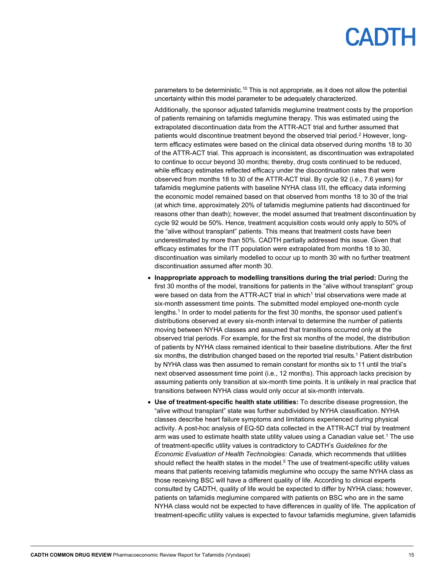parameters to be deterministic.<sup>10</sup> This is not appropriate, as it does not allow the potential uncertainty within this model parameter to be adequately characterized.

Additionally, the sponsor adjusted tafamidis meglumine treatment costs by the proportion of patients remaining on tafamidis meglumine therapy. This was estimated using the extrapolated discontinuation data from the ATTR-ACT trial and further assumed that patients would discontinue treatment beyond the observed trial period.<sup>2</sup> However, longterm efficacy estimates were based on the clinical data observed during months 18 to 30 of the ATTR-ACT trial. This approach is inconsistent, as discontinuation was extrapolated to continue to occur beyond 30 months; thereby, drug costs continued to be reduced, while efficacy estimates reflected efficacy under the discontinuation rates that were observed from months 18 to 30 of the ATTR-ACT trial. By cycle 92 (i.e., 7.6 years) for tafamidis meglumine patients with baseline NYHA class I/II, the efficacy data informing the economic model remained based on that observed from months 18 to 30 of the trial (at which time, approximately 20% of tafamidis meglumine patients had discontinued for reasons other than death); however, the model assumed that treatment discontinuation by cycle 92 would be 50%. Hence, treatment acquisition costs would only apply to 50% of the "alive without transplant" patients. This means that treatment costs have been underestimated by more than 50%. CADTH partially addressed this issue. Given that efficacy estimates for the ITT population were extrapolated from months 18 to 30, discontinuation was similarly modelled to occur up to month 30 with no further treatment discontinuation assumed after month 30.

- **Inappropriate approach to modelling transitions during the trial period:** During the first 30 months of the model, transitions for patients in the "alive without transplant" group were based on data from the ATTR-ACT trial in which<sup>1</sup> trial observations were made at six-month assessment time points. The submitted model employed one-month cycle lengths. <sup>1</sup> In order to model patients for the first 30 months, the sponsor used patient's distributions observed at every six-month interval to determine the number of patients moving between NYHA classes and assumed that transitions occurred only at the observed trial periods. For example, for the first six months of the model, the distribution of patients by NYHA class remained identical to their baseline distributions. After the first six months, the distribution changed based on the reported trial results. <sup>1</sup> Patient distribution by NYHA class was then assumed to remain constant for months six to 11 until the trial's next observed assessment time point (i.e., 12 months). This approach lacks precision by assuming patients only transition at six-month time points. It is unlikely in real practice that transitions between NYHA class would only occur at six-month intervals.
- **Use of treatment-specific health state utilities:** To describe disease progression, the "alive without transplant" state was further subdivided by NYHA classification. NYHA classes describe heart failure symptoms and limitations experienced during physical activity. A post-hoc analysis of EQ-5D data collected in the ATTR-ACT trial by treatment arm was used to estimate health state utility values using a Canadian value set.<sup>1</sup> The use of treatment-specific utility values is contradictory to CADTH's *Guidelines for the Economic Evaluation of Health Technologies: Canada,* which recommends that utilities should reflect the health states in the model. <sup>5</sup> The use of treatment-specific utility values means that patients receiving tafamidis meglumine who occupy the same NYHA class as those receiving BSC will have a different quality of life. According to clinical experts consulted by CADTH, quality of life would be expected to differ by NYHA class; however, patients on tafamidis meglumine compared with patients on BSC who are in the same NYHA class would not be expected to have differences in quality of life. The application of treatment-specific utility values is expected to favour tafamidis meglumine, given tafamidis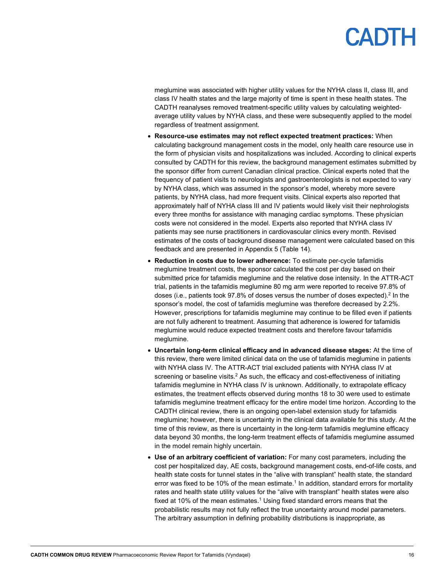meglumine was associated with higher utility values for the NYHA class II, class III, and class IV health states and the large majority of time is spent in these health states. The CADTH reanalyses removed treatment-specific utility values by calculating weightedaverage utility values by NYHA class, and these were subsequently applied to the model regardless of treatment assignment.

- **Resource-use estimates may not reflect expected treatment practices:** When calculating background management costs in the model, only health care resource use in the form of physician visits and hospitalizations was included. According to clinical experts consulted by CADTH for this review, the background management estimates submitted by the sponsor differ from current Canadian clinical practice. Clinical experts noted that the frequency of patient visits to neurologists and gastroenterologists is not expected to vary by NYHA class, which was assumed in the sponsor's model, whereby more severe patients, by NYHA class, had more frequent visits. Clinical experts also reported that approximately half of NYHA class III and IV patients would likely visit their nephrologists every three months for assistance with managing cardiac symptoms. These physician costs were not considered in the model. Experts also reported that NYHA class IV patients may see nurse practitioners in cardiovascular clinics every month. Revised estimates of the costs of background disease management were calculated based on this feedback and are presented in Appendix 5 [\(Table 14\)](#page-30-2).
- **Reduction in costs due to lower adherence:** To estimate per-cycle tafamidis meglumine treatment costs, the sponsor calculated the cost per day based on their submitted price for tafamidis meglumine and the relative dose intensity. In the ATTR-ACT trial, patients in the tafamidis meglumine 80 mg arm were reported to receive 97.8% of doses (i.e., patients took 97.8% of doses versus the number of doses expected).<sup>2</sup> In the sponsor's model, the cost of tafamidis meglumine was therefore decreased by 2.2%. However, prescriptions for tafamidis meglumine may continue to be filled even if patients are not fully adherent to treatment. Assuming that adherence is lowered for tafamidis meglumine would reduce expected treatment costs and therefore favour tafamidis meglumine.
- **Uncertain long-term clinical efficacy and in advanced disease stages:** At the time of this review, there were limited clinical data on the use of tafamidis meglumine in patients with NYHA class IV. The ATTR-ACT trial excluded patients with NYHA class IV at screening or baseline visits.<sup>2</sup> As such, the efficacy and cost-effectiveness of initiating tafamidis meglumine in NYHA class IV is unknown. Additionally, to extrapolate efficacy estimates, the treatment effects observed during months 18 to 30 were used to estimate tafamidis meglumine treatment efficacy for the entire model time horizon. According to the CADTH clinical review, there is an ongoing open-label extension study for tafamidis meglumine; however, there is uncertainty in the clinical data available for this study. At the time of this review, as there is uncertainty in the long-term tafamidis meglumine efficacy data beyond 30 months, the long-term treatment effects of tafamidis meglumine assumed in the model remain highly uncertain.
- **Use of an arbitrary coefficient of variation:** For many cost parameters, including the cost per hospitalized day, AE costs, background management costs, end-of-life costs, and health state costs for tunnel states in the "alive with transplant" health state, the standard error was fixed to be 10% of the mean estimate. <sup>1</sup> In addition, standard errors for mortality rates and health state utility values for the "alive with transplant" health states were also fixed at 10% of the mean estimates. <sup>1</sup> Using fixed standard errors means that the probabilistic results may not fully reflect the true uncertainty around model parameters. The arbitrary assumption in defining probability distributions is inappropriate, as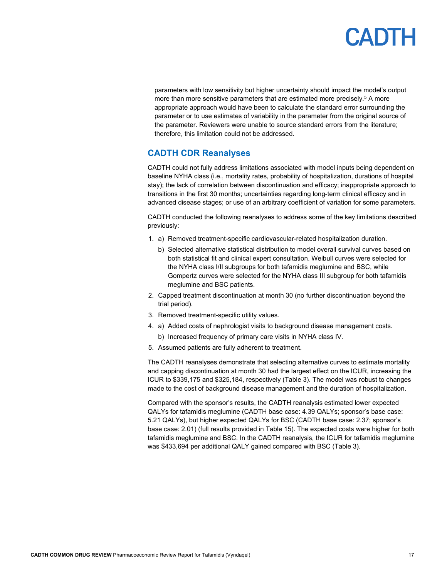parameters with low sensitivity but higher uncertainty should impact the model's output more than more sensitive parameters that are estimated more precisely.<sup>5</sup> A more appropriate approach would have been to calculate the standard error surrounding the parameter or to use estimates of variability in the parameter from the original source of the parameter. Reviewers were unable to source standard errors from the literature; therefore, this limitation could not be addressed.

### <span id="page-16-0"></span>**CADTH CDR Reanalyses**

CADTH could not fully address limitations associated with model inputs being dependent on baseline NYHA class (i.e., mortality rates, probability of hospitalization, durations of hospital stay); the lack of correlation between discontinuation and efficacy; inappropriate approach to transitions in the first 30 months; uncertainties regarding long-term clinical efficacy and in advanced disease stages; or use of an arbitrary coefficient of variation for some parameters.

CADTH conducted the following reanalyses to address some of the key limitations described previously:

- 1. a) Removed treatment-specific cardiovascular-related hospitalization duration.
	- b) Selected alternative statistical distribution to model overall survival curves based on both statistical fit and clinical expert consultation. Weibull curves were selected for the NYHA class I/II subgroups for both tafamidis meglumine and BSC, while Gompertz curves were selected for the NYHA class III subgroup for both tafamidis meglumine and BSC patients.
- 2. Capped treatment discontinuation at month 30 (no further discontinuation beyond the trial period).
- 3. Removed treatment-specific utility values.
- 4. a) Added costs of nephrologist visits to background disease management costs.
	- b) Increased frequency of primary care visits in NYHA class IV.
- 5. Assumed patients are fully adherent to treatment.

The CADTH reanalyses demonstrate that selecting alternative curves to estimate mortality and capping discontinuation at month 30 had the largest effect on the ICUR, increasing the ICUR to \$339,175 and \$325,184, respectively [\(Table 3\)](#page-17-0). The model was robust to changes made to the cost of background disease management and the duration of hospitalization.

Compared with the sponsor's results, the CADTH reanalysis estimated lower expected QALYs for tafamidis meglumine (CADTH base case: 4.39 QALYs; sponsor's base case: 5.21 QALYs), but higher expected QALYs for BSC (CADTH base case: 2.37; sponsor's base case: 2.01) (full results provided in [Table 15\)](#page-31-0). The expected costs were higher for both tafamidis meglumine and BSC. In the CADTH reanalysis, the ICUR for tafamidis meglumine was \$433,694 per additional QALY gained compared with BSC [\(Table 3\)](#page-17-0).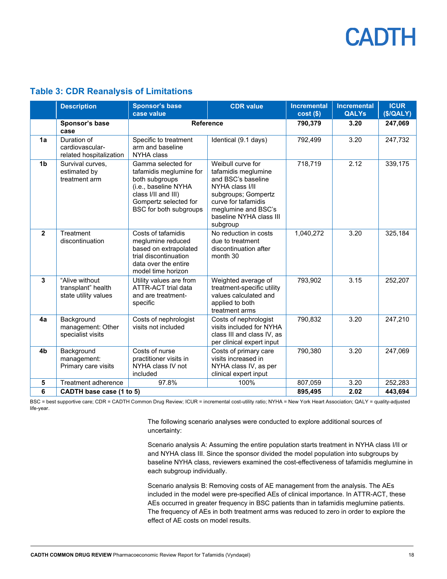#### <span id="page-17-0"></span>**Table 3: CDR Reanalysis of Limitations**

|                | <b>Description</b>                                           | <b>Sponsor's base</b><br>case value                                                                                                                               | <b>CDR</b> value                                                                                                                                                                              | <b>Incremental</b><br>$cost($)$ | <b>Incremental</b><br><b>QALYs</b> | <b>ICUR</b><br>(\$/QALY) |
|----------------|--------------------------------------------------------------|-------------------------------------------------------------------------------------------------------------------------------------------------------------------|-----------------------------------------------------------------------------------------------------------------------------------------------------------------------------------------------|---------------------------------|------------------------------------|--------------------------|
|                | Sponsor's base<br>case                                       | <b>Reference</b>                                                                                                                                                  | 790,379                                                                                                                                                                                       | 3.20                            | 247,069                            |                          |
| 1a             | Duration of<br>cardiovascular-<br>related hospitalization    | Specific to treatment<br>arm and baseline<br>NYHA class                                                                                                           | Identical (9.1 days)                                                                                                                                                                          | 792,499                         | 3.20                               | 247,732                  |
| 1 <sub>b</sub> | Survival curves,<br>estimated by<br>treatment arm            | Gamma selected for<br>tafamidis meglumine for<br>both subgroups<br>(i.e., baseline NYHA<br>class I/II and III)<br>Gompertz selected for<br>BSC for both subgroups | Weibull curve for<br>tafamidis meglumine<br>and BSC's baseline<br>NYHA class I/II<br>subgroups; Gompertz<br>curve for tafamidis<br>meglumine and BSC's<br>baseline NYHA class III<br>subgroup | 718,719                         | 2.12                               | 339,175                  |
| $\overline{2}$ | Treatment<br>discontinuation                                 | Costs of tafamidis<br>meglumine reduced<br>based on extrapolated<br>trial discontinuation<br>data over the entire<br>model time horizon                           | No reduction in costs<br>due to treatment<br>discontinuation after<br>month 30                                                                                                                | 1,040,272                       | 3.20                               | 325,184                  |
| $\mathbf{3}$   | "Alive without<br>transplant" health<br>state utility values | Utility values are from<br>ATTR-ACT trial data<br>and are treatment-<br>specific                                                                                  | Weighted average of<br>treatment-specific utility<br>values calculated and<br>applied to both<br>treatment arms                                                                               | 793,902                         | 3.15                               | 252,207                  |
| 4a             | Background<br>management: Other<br>specialist visits         | Costs of nephrologist<br>visits not included                                                                                                                      | Costs of nephrologist<br>visits included for NYHA<br>class III and class IV, as<br>per clinical expert input                                                                                  | 790,832                         | 3.20                               | 247,210                  |
| 4b             | Background<br>management:<br>Primary care visits             | Costs of nurse<br>practitioner visits in<br>NYHA class IV not<br>included                                                                                         | Costs of primary care<br>visits increased in<br>NYHA class IV, as per<br>clinical expert input                                                                                                | 790,380                         | 3.20                               | 247,069                  |
| $\sqrt{5}$     | Treatment adherence                                          | 97.8%                                                                                                                                                             | 100%                                                                                                                                                                                          | 807,059                         | 3.20                               | 252,283                  |
| 6              | CADTH base case (1 to 5)                                     |                                                                                                                                                                   |                                                                                                                                                                                               | 895,495                         | 2.02                               | 443,694                  |

BSC = best supportive care; CDR = CADTH Common Drug Review; ICUR = incremental cost-utility ratio; NYHA = New York Heart Association; QALY = quality-adjusted life-year.

> The following scenario analyses were conducted to explore additional sources of uncertainty:

Scenario analysis A: Assuming the entire population starts treatment in NYHA class I/II or and NYHA class III. Since the sponsor divided the model population into subgroups by baseline NYHA class, reviewers examined the cost-effectiveness of tafamidis meglumine in each subgroup individually.

Scenario analysis B: Removing costs of AE management from the analysis. The AEs included in the model were pre-specified AEs of clinical importance. In ATTR-ACT, these AEs occurred in greater frequency in BSC patients than in tafamidis meglumine patients. The frequency of AEs in both treatment arms was reduced to zero in order to explore the effect of AE costs on model results.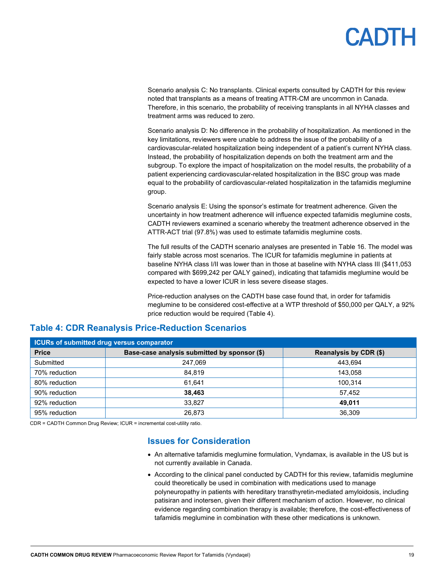Scenario analysis C: No transplants. Clinical experts consulted by CADTH for this review noted that transplants as a means of treating ATTR-CM are uncommon in Canada. Therefore, in this scenario, the probability of receiving transplants in all NYHA classes and treatment arms was reduced to zero.

Scenario analysis D: No difference in the probability of hospitalization. As mentioned in the key limitations, reviewers were unable to address the issue of the probability of a cardiovascular-related hospitalization being independent of a patient's current NYHA class. Instead, the probability of hospitalization depends on both the treatment arm and the subgroup. To explore the impact of hospitalization on the model results, the probability of a patient experiencing cardiovascular-related hospitalization in the BSC group was made equal to the probability of cardiovascular-related hospitalization in the tafamidis meglumine group.

Scenario analysis E: Using the sponsor's estimate for treatment adherence. Given the uncertainty in how treatment adherence will influence expected tafamidis meglumine costs, CADTH reviewers examined a scenario whereby the treatment adherence observed in the ATTR-ACT trial (97.8%) was used to estimate tafamidis meglumine costs.

The full results of the CADTH scenario analyses are presented in [Table 16.](#page-31-1) The model was fairly stable across most scenarios. The ICUR for tafamidis meglumine in patients at baseline NYHA class I/II was lower than in those at baseline with NYHA class III (\$411,053 compared with \$699,242 per QALY gained), indicating that tafamidis meglumine would be expected to have a lower ICUR in less severe disease stages.

Price-reduction analyses on the CADTH base case found that, in order for tafamidis meglumine to be considered cost-effective at a WTP threshold of \$50,000 per QALY, a 92% price reduction would be required [\(Table 4\)](#page-18-1).

| <b>ICURs of submitted drug versus comparator</b> |                                              |                        |  |  |  |  |
|--------------------------------------------------|----------------------------------------------|------------------------|--|--|--|--|
| <b>Price</b>                                     | Base-case analysis submitted by sponsor (\$) | Reanalysis by CDR (\$) |  |  |  |  |
| Submitted                                        | 247.069                                      | 443.694                |  |  |  |  |
| 70% reduction                                    | 84,819                                       | 143.058                |  |  |  |  |
| 80% reduction                                    | 61.641                                       | 100.314                |  |  |  |  |
| 90% reduction                                    | 38,463                                       | 57,452                 |  |  |  |  |
| 92% reduction                                    | 33.827                                       | 49.011                 |  |  |  |  |
| 95% reduction                                    | 26.873                                       | 36,309                 |  |  |  |  |

#### <span id="page-18-1"></span>**Table 4: CDR Reanalysis Price-Reduction Scenarios**

<span id="page-18-0"></span>CDR = CADTH Common Drug Review; ICUR = incremental cost-utility ratio.

#### **Issues for Consideration**

- An alternative tafamidis meglumine formulation, Vyndamax, is available in the US but is not currently available in Canada.
- According to the clinical panel conducted by CADTH for this review, tafamidis meglumine could theoretically be used in combination with medications used to manage polyneuropathy in patients with hereditary transthyretin-mediated amyloidosis, including patisiran and inotersen, given their different mechanism of action. However, no clinical evidence regarding combination therapy is available; therefore, the cost-effectiveness of tafamidis meglumine in combination with these other medications is unknown.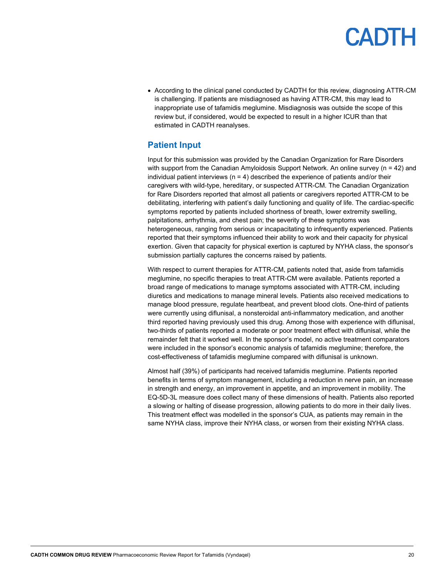• According to the clinical panel conducted by CADTH for this review, diagnosing ATTR-CM is challenging. If patients are misdiagnosed as having ATTR-CM, this may lead to inappropriate use of tafamidis meglumine. Misdiagnosis was outside the scope of this review but, if considered, would be expected to result in a higher ICUR than that estimated in CADTH reanalyses.

#### <span id="page-19-0"></span>**Patient Input**

Input for this submission was provided by the Canadian Organization for Rare Disorders with support from the Canadian Amyloidosis Support Network. An online survey ( $n = 42$ ) and individual patient interviews ( $n = 4$ ) described the experience of patients and/or their caregivers with wild-type, hereditary, or suspected ATTR-CM. The Canadian Organization for Rare Disorders reported that almost all patients or caregivers reported ATTR-CM to be debilitating, interfering with patient's daily functioning and quality of life. The cardiac-specific symptoms reported by patients included shortness of breath, lower extremity swelling, palpitations, arrhythmia, and chest pain; the severity of these symptoms was heterogeneous, ranging from serious or incapacitating to infrequently experienced. Patients reported that their symptoms influenced their ability to work and their capacity for physical exertion. Given that capacity for physical exertion is captured by NYHA class, the sponsor's submission partially captures the concerns raised by patients.

With respect to current therapies for ATTR-CM, patients noted that, aside from tafamidis meglumine, no specific therapies to treat ATTR-CM were available. Patients reported a broad range of medications to manage symptoms associated with ATTR-CM, including diuretics and medications to manage mineral levels. Patients also received medications to manage blood pressure, regulate heartbeat, and prevent blood clots. One-third of patients were currently using diflunisal, a nonsteroidal anti-inflammatory medication, and another third reported having previously used this drug. Among those with experience with diflunisal, two-thirds of patients reported a moderate or poor treatment effect with diflunisal, while the remainder felt that it worked well. In the sponsor's model, no active treatment comparators were included in the sponsor's economic analysis of tafamidis meglumine; therefore, the cost-effectiveness of tafamidis meglumine compared with diflunisal is unknown.

Almost half (39%) of participants had received tafamidis meglumine. Patients reported benefits in terms of symptom management, including a reduction in nerve pain, an increase in strength and energy, an improvement in appetite, and an improvement in mobility. The EQ-5D-3L measure does collect many of these dimensions of health. Patients also reported a slowing or halting of disease progression, allowing patients to do more in their daily lives. This treatment effect was modelled in the sponsor's CUA, as patients may remain in the same NYHA class, improve their NYHA class, or worsen from their existing NYHA class.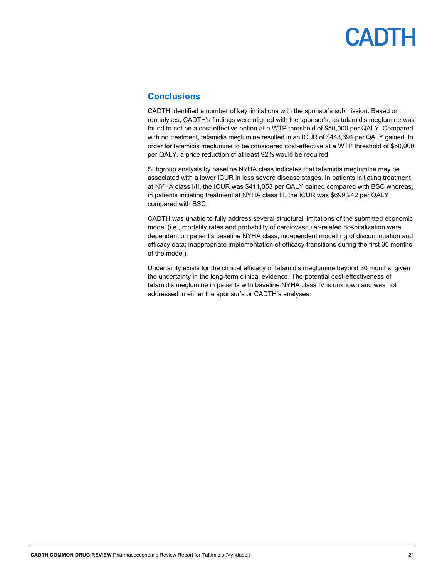#### <span id="page-20-0"></span>**Conclusions**

CADTH identified a number of key limitations with the sponsor's submission. Based on reanalyses, CADTH's findings were aligned with the sponsor's, as tafamidis meglumine was found to not be a cost-effective option at a WTP threshold of \$50,000 per QALY. Compared with no treatment, tafamidis meglumine resulted in an ICUR of \$443,694 per QALY gained. In order for tafamidis meglumine to be considered cost-effective at a WTP threshold of \$50,000 per QALY, a price reduction of at least 92% would be required.

Subgroup analysis by baseline NYHA class indicates that tafamidis meglumine may be associated with a lower ICUR in less severe disease stages. In patients initiating treatment at NYHA class I/II, the ICUR was \$411,053 per QALY gained compared with BSC whereas, in patients initiating treatment at NYHA class III, the ICUR was \$699,242 per QALY compared with BSC.

CADTH was unable to fully address several structural limitations of the submitted economic model (i.e., mortality rates and probability of cardiovascular-related hospitalization were dependent on patient's baseline NYHA class; independent modelling of discontinuation and efficacy data; inappropriate implementation of efficacy transitions during the first 30 months of the model).

Uncertainty exists for the clinical efficacy of tafamidis meglumine beyond 30 months, given the uncertainty in the long-term clinical evidence. The potential cost-effectiveness of tafamidis meglumine in patients with baseline NYHA class IV is unknown and was not addressed in either the sponsor's or CADTH's analyses.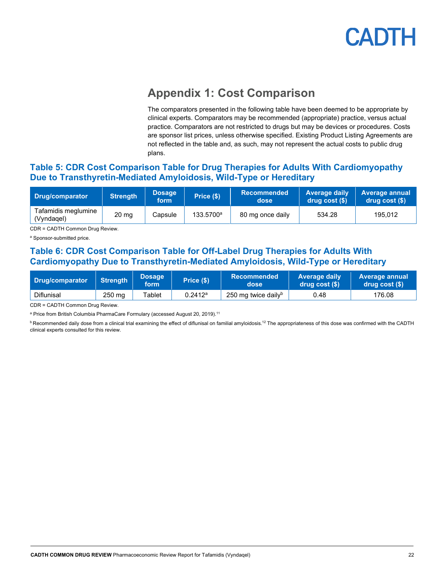

### **Appendix 1: Cost Comparison**

The comparators presented in the following table have been deemed to be appropriate by clinical experts. Comparators may be recommended (appropriate) practice, versus actual practice. Comparators are not restricted to drugs but may be devices or procedures. Costs are sponsor list prices, unless otherwise specified. Existing Product Listing Agreements are not reflected in the table and, as such, may not represent the actual costs to public drug plans.

#### <span id="page-21-1"></span><span id="page-21-0"></span>**Table 5: CDR Cost Comparison Table for Drug Therapies for Adults With Cardiomyopathy Due to Transthyretin-Mediated Amyloidosis, Wild-Type or Hereditary**

| Drug/comparator                   | <b>Strength</b> | <b>Dosage</b><br>form | Price (\$)            | <b>Recommended</b><br>dose | <b>Average daily</b><br>drug cost(S) | Average annual<br>drug cost (\$) |
|-----------------------------------|-----------------|-----------------------|-----------------------|----------------------------|--------------------------------------|----------------------------------|
| Tafamidis meglumine<br>(Vyndagel) | $20 \text{ mg}$ | Capsule               | 133.5700 <sup>a</sup> | 80 mg once daily           | 534.28                               | 195.012                          |

CDR = CADTH Common Drug Review.

<sup>a</sup> Sponsor-submitted price.

#### <span id="page-21-2"></span>**Table 6: CDR Cost Comparison Table for Off-Label Drug Therapies for Adults With Cardiomyopathy Due to Transthyretin-Mediated Amyloidosis, Wild-Type or Hereditary**

| Drug/comparator   | <b>Strenath</b> | <b>Dosage</b><br>form | Price $(\$)$ | <b>Recommended</b><br>dose      | <b>Average daily</b><br>drug cost (\$) | <b>Average annual</b><br>drug cost (\$) |
|-------------------|-----------------|-----------------------|--------------|---------------------------------|----------------------------------------|-----------------------------------------|
| <b>Diflunisal</b> | 250 mg          | ⊺ablet                | 0.2412a      | 250 mg twice daily <sup>b</sup> | J.48                                   | 176.08                                  |

CDR = CADTH Common Drug Review.

<sup>a</sup> Price from British Columbia PharmaCare Formulary (accessed August 20, 2019).<sup>11</sup>

**b** Recommended daily dose from a clinical trial examining the effect of diflunisal on familial amyloidosis.<sup>12</sup> The appropriateness of this dose was confirmed with the CADTH clinical experts consulted for this review.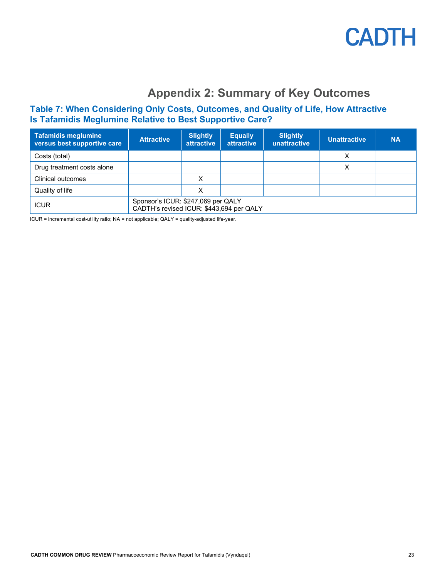

### **Appendix 2: Summary of Key Outcomes**

#### <span id="page-22-1"></span><span id="page-22-0"></span>**Table 7: When Considering Only Costs, Outcomes, and Quality of Life, How Attractive Is Tafamidis Meglumine Relative to Best Supportive Care?**

| <b>Tafamidis meglumine</b><br>versus best supportive care | <b>Attractive</b>                                                              | <b>Slightly</b><br><b>attractive</b> | <b>Equally</b><br>attractive | <b>Slightly</b><br>unattractive | <b>Unattractive</b> | <b>NA</b> |
|-----------------------------------------------------------|--------------------------------------------------------------------------------|--------------------------------------|------------------------------|---------------------------------|---------------------|-----------|
| Costs (total)                                             |                                                                                |                                      |                              |                                 | х                   |           |
| Drug treatment costs alone                                |                                                                                |                                      |                              |                                 | х                   |           |
| Clinical outcomes                                         |                                                                                | x                                    |                              |                                 |                     |           |
| Quality of life                                           |                                                                                | х                                    |                              |                                 |                     |           |
| <b>ICUR</b>                                               | Sponsor's ICUR: \$247,069 per QALY<br>CADTH's revised ICUR: \$443,694 per QALY |                                      |                              |                                 |                     |           |

ICUR = incremental cost-utility ratio; NA = not applicable; QALY = quality-adjusted life-year.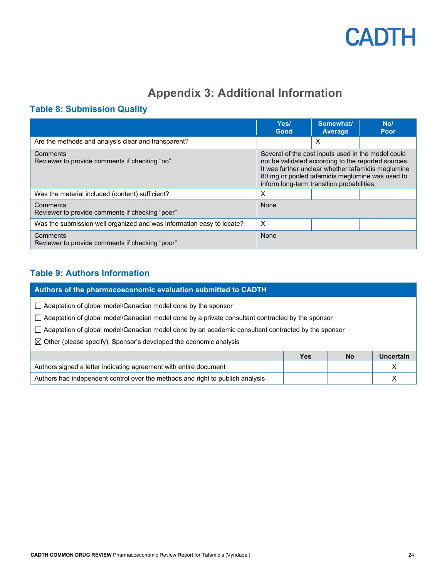

### **Appendix 3: Additional Information**

### <span id="page-23-1"></span><span id="page-23-0"></span>**Table 8: Submission Quality**

|                                                                       | Yes/<br>Good                                                                                                                                                                                               | Somewhat/<br>Average | No/<br>Poor                                        |
|-----------------------------------------------------------------------|------------------------------------------------------------------------------------------------------------------------------------------------------------------------------------------------------------|----------------------|----------------------------------------------------|
| Are the methods and analysis clear and transparent?                   |                                                                                                                                                                                                            | X                    |                                                    |
| Comments<br>Reviewer to provide comments if checking "no"             | Several of the cost inputs used in the model could<br>not be validated according to the reported sources.<br>80 mg or pooled tafamidis meglumine was used to<br>inform long-term transition probabilities. |                      | It was further unclear whether tafamidis meglumine |
| Was the material included (content) sufficient?                       | X                                                                                                                                                                                                          |                      |                                                    |
| Comments<br>Reviewer to provide comments if checking "poor"           | None                                                                                                                                                                                                       |                      |                                                    |
| Was the submission well organized and was information easy to locate? | X                                                                                                                                                                                                          |                      |                                                    |
| Comments<br>Reviewer to provide comments if checking "poor"           | None                                                                                                                                                                                                       |                      |                                                    |

### <span id="page-23-2"></span>**Table 9: Authors Information**

| Authors of the pharmacoeconomic evaluation submitted to CADTH                                                                                                                                                                                                                                                                                                          |            |           |                  |  |  |  |
|------------------------------------------------------------------------------------------------------------------------------------------------------------------------------------------------------------------------------------------------------------------------------------------------------------------------------------------------------------------------|------------|-----------|------------------|--|--|--|
| Adaptation of global model/Canadian model done by the sponsor<br>$\Box$ Adaptation of global model/Canadian model done by a private consultant contracted by the sponsor<br>$\Box$ Adaptation of global model/Canadian model done by an academic consultant contracted by the sponsor<br>$\boxtimes$ Other (please specify): Sponsor's developed the economic analysis |            |           |                  |  |  |  |
|                                                                                                                                                                                                                                                                                                                                                                        | <b>Yes</b> | <b>No</b> | <b>Uncertain</b> |  |  |  |
| Authors signed a letter indicating agreement with entire document                                                                                                                                                                                                                                                                                                      |            |           | X                |  |  |  |
| Authors had independent control over the methods and right to publish analysis<br>х                                                                                                                                                                                                                                                                                    |            |           |                  |  |  |  |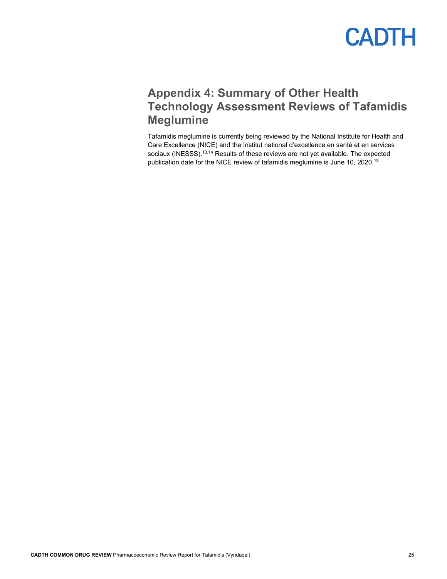### <span id="page-24-0"></span>**Appendix 4: Summary of Other Health Technology Assessment Reviews of Tafamidis Meglumine**

Tafamidis meglumine is currently being reviewed by the National Institute for Health and Care Excellence (NICE) and the Institut national d'excellence en santé et en services sociaux (INESSS).<sup>13,14</sup> Results of these reviews are not yet available. The expected publication date for the NICE review of tafamidis meglumine is June 10, 2020.<sup>13</sup>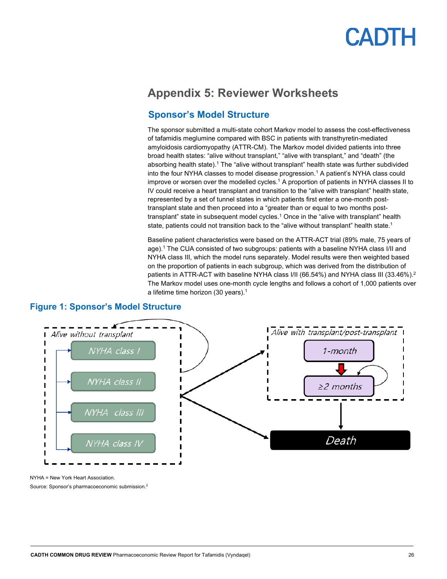### <span id="page-25-0"></span>**Appendix 5: Reviewer Worksheets**

#### **Sponsor's Model Structure**

The sponsor submitted a multi-state cohort Markov model to assess the cost-effectiveness of tafamidis meglumine compared with BSC in patients with transthyretin-mediated amyloidosis cardiomyopathy (ATTR-CM). The Markov model divided patients into three broad health states: "alive without transplant," "alive with transplant," and "death" (the absorbing health state). <sup>1</sup> The "alive without transplant" health state was further subdivided into the four NYHA classes to model disease progression.<sup>1</sup> A patient's NYHA class could improve or worsen over the modelled cycles. <sup>1</sup> A proportion of patients in NYHA classes II to IV could receive a heart transplant and transition to the "alive with transplant" health state, represented by a set of tunnel states in which patients first enter a one-month posttransplant state and then proceed into a "greater than or equal to two months posttransplant" state in subsequent model cycles. <sup>1</sup> Once in the "alive with transplant" health state, patients could not transition back to the "alive without transplant" health state.<sup>1</sup>

Baseline patient characteristics were based on the ATTR-ACT trial (89% male, 75 years of age). <sup>1</sup> The CUA consisted of two subgroups: patients with a baseline NYHA class I/II and NYHA class III, which the model runs separately. Model results were then weighted based on the proportion of patients in each subgroup, which was derived from the distribution of patients in ATTR-ACT with baseline NYHA class I/II (66.54%) and NYHA class III (33.46%).<sup>2</sup> The Markov model uses one-month cycle lengths and follows a cohort of 1,000 patients over a lifetime time horizon (30 years).<sup>1</sup>



#### <span id="page-25-1"></span>**Figure 1: Sponsor's Model Structure**

NYHA = New York Heart Association.

Source: Sponsor's pharmacoeconomic submission. 2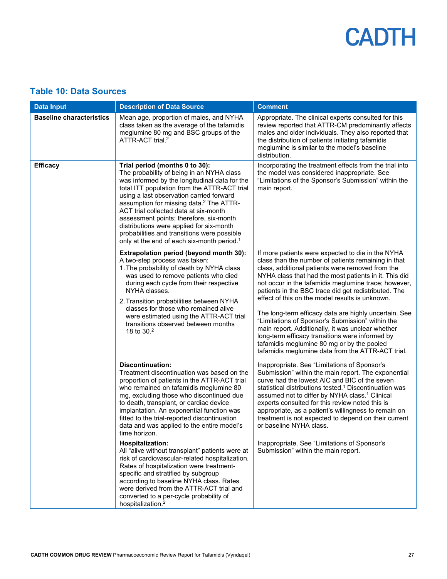### <span id="page-26-0"></span>**Table 10: Data Sources**

| <b>Data Input</b>               | <b>Description of Data Source</b>                                                                                                                                                                                                                                                                                                                                                                                                                                                                                        | <b>Comment</b>                                                                                                                                                                                                                                                                                                                                                                                                                                                                                                                                                                                                                                                                                                   |
|---------------------------------|--------------------------------------------------------------------------------------------------------------------------------------------------------------------------------------------------------------------------------------------------------------------------------------------------------------------------------------------------------------------------------------------------------------------------------------------------------------------------------------------------------------------------|------------------------------------------------------------------------------------------------------------------------------------------------------------------------------------------------------------------------------------------------------------------------------------------------------------------------------------------------------------------------------------------------------------------------------------------------------------------------------------------------------------------------------------------------------------------------------------------------------------------------------------------------------------------------------------------------------------------|
| <b>Baseline characteristics</b> | Mean age, proportion of males, and NYHA<br>class taken as the average of the tafamidis<br>meglumine 80 mg and BSC groups of the<br>ATTR-ACT trial. <sup>2</sup>                                                                                                                                                                                                                                                                                                                                                          | Appropriate. The clinical experts consulted for this<br>review reported that ATTR-CM predominantly affects<br>males and older individuals. They also reported that<br>the distribution of patients initiating tafamidis<br>meglumine is similar to the model's baseline<br>distribution.                                                                                                                                                                                                                                                                                                                                                                                                                         |
| <b>Efficacy</b>                 | Trial period (months 0 to 30):<br>The probability of being in an NYHA class<br>was informed by the longitudinal data for the<br>total ITT population from the ATTR-ACT trial<br>using a last observation carried forward<br>assumption for missing data. <sup>2</sup> The ATTR-<br>ACT trial collected data at six-month<br>assessment points; therefore, six-month<br>distributions were applied for six-month<br>probabilities and transitions were possible<br>only at the end of each six-month period. <sup>1</sup> | Incorporating the treatment effects from the trial into<br>the model was considered inappropriate. See<br>"Limitations of the Sponsor's Submission" within the<br>main report.                                                                                                                                                                                                                                                                                                                                                                                                                                                                                                                                   |
|                                 | <b>Extrapolation period (beyond month 30):</b><br>A two-step process was taken:<br>1. The probability of death by NYHA class<br>was used to remove patients who died<br>during each cycle from their respective<br>NYHA classes.<br>2. Transition probabilities between NYHA<br>classes for those who remained alive<br>were estimated using the ATTR-ACT trial<br>transitions observed between months<br>18 to 30.2                                                                                                     | If more patients were expected to die in the NYHA<br>class than the number of patients remaining in that<br>class, additional patients were removed from the<br>NYHA class that had the most patients in it. This did<br>not occur in the tafamidis meglumine trace; however,<br>patients in the BSC trace did get redistributed. The<br>effect of this on the model results is unknown.<br>The long-term efficacy data are highly uncertain. See<br>"Limitations of Sponsor's Submission" within the<br>main report. Additionally, it was unclear whether<br>long-term efficacy transitions were informed by<br>tafamidis meglumine 80 mg or by the pooled<br>tafamidis meglumine data from the ATTR-ACT trial. |
|                                 | <b>Discontinuation:</b><br>Treatment discontinuation was based on the<br>proportion of patients in the ATTR-ACT trial<br>who remained on tafamidis meglumine 80<br>mg, excluding those who discontinued due<br>to death, transplant, or cardiac device<br>implantation. An exponential function was<br>fitted to the trial-reported discontinuation<br>data and was applied to the entire model's<br>time horizon.                                                                                                       | Inappropriate. See "Limitations of Sponsor's<br>Submission" within the main report. The exponential<br>curve had the lowest AIC and BIC of the seven<br>statistical distributions tested. <sup>1</sup> Discontinuation was<br>assumed not to differ by NYHA class. <sup>1</sup> Clinical<br>experts consulted for this review noted this is<br>appropriate, as a patient's willingness to remain on<br>treatment is not expected to depend on their current<br>or baseline NYHA class.                                                                                                                                                                                                                           |
|                                 | <b>Hospitalization:</b><br>All "alive without transplant" patients were at<br>risk of cardiovascular-related hospitalization.<br>Rates of hospitalization were treatment-<br>specific and stratified by subgroup<br>according to baseline NYHA class. Rates<br>were derived from the ATTR-ACT trial and<br>converted to a per-cycle probability of<br>hospitalization. <sup>2</sup>                                                                                                                                      | Inappropriate. See "Limitations of Sponsor's<br>Submission" within the main report.                                                                                                                                                                                                                                                                                                                                                                                                                                                                                                                                                                                                                              |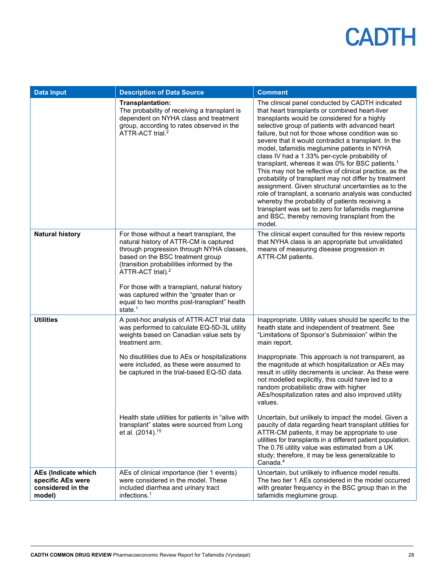| <b>Data Input</b>                                                       | <b>Description of Data Source</b>                                                                                                                                                                                                                                                                                                                                                                                    | <b>Comment</b>                                                                                                                                                                                                                                                                                                                                                                                                                                                                                                                                                                                                                                                                                                                                                                                                                                                                             |
|-------------------------------------------------------------------------|----------------------------------------------------------------------------------------------------------------------------------------------------------------------------------------------------------------------------------------------------------------------------------------------------------------------------------------------------------------------------------------------------------------------|--------------------------------------------------------------------------------------------------------------------------------------------------------------------------------------------------------------------------------------------------------------------------------------------------------------------------------------------------------------------------------------------------------------------------------------------------------------------------------------------------------------------------------------------------------------------------------------------------------------------------------------------------------------------------------------------------------------------------------------------------------------------------------------------------------------------------------------------------------------------------------------------|
|                                                                         | Transplantation:<br>The probability of receiving a transplant is<br>dependent on NYHA class and treatment<br>group, according to rates observed in the<br>ATTR-ACT trial. <sup>2</sup>                                                                                                                                                                                                                               | The clinical panel conducted by CADTH indicated<br>that heart transplants or combined heart-liver<br>transplants would be considered for a highly<br>selective group of patients with advanced heart<br>failure, but not for those whose condition was so<br>severe that it would contradict a transplant. In the<br>model, tafamidis meglumine patients in NYHA<br>class IV had a 1.33% per-cycle probability of<br>transplant, whereas it was 0% for BSC patients. <sup>1</sup><br>This may not be reflective of clinical practice, as the<br>probability of transplant may not differ by treatment<br>assignment. Given structural uncertainties as to the<br>role of transplant, a scenario analysis was conducted<br>whereby the probability of patients receiving a<br>transplant was set to zero for tafamidis meglumine<br>and BSC, thereby removing transplant from the<br>model. |
| <b>Natural history</b>                                                  | For those without a heart transplant, the<br>natural history of ATTR-CM is captured<br>through progression through NYHA classes,<br>based on the BSC treatment group<br>(transition probabilities informed by the<br>ATTR-ACT trial). <sup>2</sup><br>For those with a transplant, natural history<br>was captured within the "greater than or<br>equal to two months post-transplant" health<br>state. <sup>1</sup> | The clinical expert consulted for this review reports<br>that NYHA class is an appropriate but unvalidated<br>means of measuring disease progression in<br>ATTR-CM patients.                                                                                                                                                                                                                                                                                                                                                                                                                                                                                                                                                                                                                                                                                                               |
| <b>Utilities</b>                                                        | A post-hoc analysis of ATTR-ACT trial data<br>was performed to calculate EQ-5D-3L utility<br>weights based on Canadian value sets by<br>treatment arm.<br>No disutilities due to AEs or hospitalizations<br>were included, as these were assumed to<br>be captured in the trial-based EQ-5D data.<br>Health state utilities for patients in "alive with<br>transplant" states were sourced from Long                 | Inappropriate. Utility values should be specific to the<br>health state and independent of treatment. See<br>"Limitations of Sponsor's Submission" within the<br>main report.<br>Inappropriate. This approach is not transparent, as<br>the magnitude at which hospitalization or AEs may<br>result in utility decrements is unclear. As these were<br>not modelled explicitly, this could have led to a<br>random probabilistic draw with higher<br>AEs/hospitalization rates and also improved utility<br>values.<br>Uncertain, but unlikely to impact the model. Given a<br>paucity of data regarding heart transplant utilities for                                                                                                                                                                                                                                                    |
|                                                                         | et al. (2014). <sup>15</sup>                                                                                                                                                                                                                                                                                                                                                                                         | ATTR-CM patients, it may be appropriate to use<br>utilities for transplants in a different patient population.<br>The 0.76 utility value was estimated from a UK<br>study; therefore, it may be less generalizable to<br>Canada. $4$                                                                                                                                                                                                                                                                                                                                                                                                                                                                                                                                                                                                                                                       |
| AEs (Indicate which<br>specific AEs were<br>considered in the<br>model) | AEs of clinical importance (tier 1 events)<br>were considered in the model. These<br>included diarrhea and urinary tract<br>infections. <sup>1</sup>                                                                                                                                                                                                                                                                 | Uncertain, but unlikely to influence model results.<br>The two tier 1 AEs considered in the model occurred<br>with greater frequency in the BSC group than in the<br>tafamidis meglumine group.                                                                                                                                                                                                                                                                                                                                                                                                                                                                                                                                                                                                                                                                                            |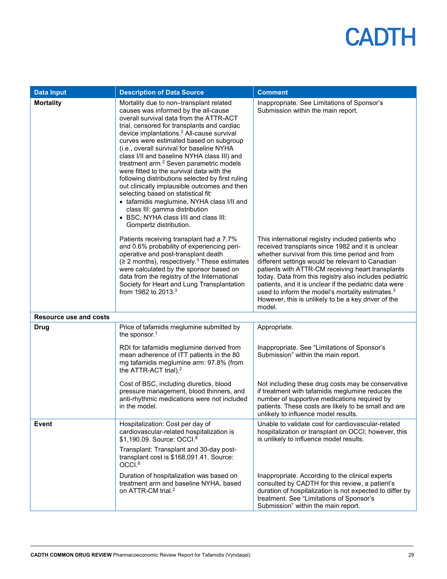| <b>Data Input</b>             | <b>Description of Data Source</b>                                                                                                                                                                                                                                                                                                                                                                                                                                                                                                                                                                                                                                                                                                                                          | <b>Comment</b>                                                                                                                                                                                                                                                                                                                                                                                                                                                                                                          |
|-------------------------------|----------------------------------------------------------------------------------------------------------------------------------------------------------------------------------------------------------------------------------------------------------------------------------------------------------------------------------------------------------------------------------------------------------------------------------------------------------------------------------------------------------------------------------------------------------------------------------------------------------------------------------------------------------------------------------------------------------------------------------------------------------------------------|-------------------------------------------------------------------------------------------------------------------------------------------------------------------------------------------------------------------------------------------------------------------------------------------------------------------------------------------------------------------------------------------------------------------------------------------------------------------------------------------------------------------------|
| <b>Mortality</b>              | Mortality due to non-transplant related<br>causes was informed by the all-cause<br>overall survival data from the ATTR-ACT<br>trial, censored for transplants and cardiac<br>device implantations. <sup>2</sup> All-cause survival<br>curves were estimated based on subgroup<br>(i.e., overall survival for baseline NYHA<br>class I/II and baseline NYHA class III) and<br>treatment arm. <sup>2</sup> Seven parametric models<br>were fitted to the survival data with the<br>following distributions selected by first ruling<br>out clinically implausible outcomes and then<br>selecting based on statistical fit:<br>• tafamidis meglumine, NYHA class I/II and<br>class III: gamma distribution<br>• BSC, NYHA class I/II and class III:<br>Gompertz distribution. | Inappropriate. See Limitations of Sponsor's<br>Submission within the main report.                                                                                                                                                                                                                                                                                                                                                                                                                                       |
|                               | Patients receiving transplant had a 7.7%<br>and 0.6% probability of experiencing peri-<br>operative and post-transplant death<br>$( \ge 2$ months), respectively. <sup>3</sup> These estimates<br>were calculated by the sponsor based on<br>data from the registry of the International<br>Society for Heart and Lung Transplantation<br>from 1982 to 2013. <sup>3</sup>                                                                                                                                                                                                                                                                                                                                                                                                  | This international registry included patients who<br>received transplants since 1982 and it is unclear<br>whether survival from this time period and from<br>different settings would be relevant to Canadian<br>patients with ATTR-CM receiving heart transplants<br>today. Data from this registry also includes pediatric<br>patients, and it is unclear if the pediatric data were<br>used to inform the model's mortality estimates. <sup>3</sup><br>However, this is unlikely to be a key driver of the<br>model. |
| <b>Resource use and costs</b> |                                                                                                                                                                                                                                                                                                                                                                                                                                                                                                                                                                                                                                                                                                                                                                            |                                                                                                                                                                                                                                                                                                                                                                                                                                                                                                                         |
| <b>Drug</b>                   | Price of tafamidis meglumine submitted by<br>the sponsor. <sup>1</sup>                                                                                                                                                                                                                                                                                                                                                                                                                                                                                                                                                                                                                                                                                                     | Appropriate.                                                                                                                                                                                                                                                                                                                                                                                                                                                                                                            |
|                               | RDI for tafamidis meglumine derived from<br>mean adherence of ITT patients in the 80<br>mg tafamidis meglumine arm: 97.8% (from<br>the ATTR-ACT trial). <sup>2</sup>                                                                                                                                                                                                                                                                                                                                                                                                                                                                                                                                                                                                       | Inappropriate. See "Limitations of Sponsor's<br>Submission" within the main report.                                                                                                                                                                                                                                                                                                                                                                                                                                     |
|                               | Cost of BSC, including diuretics, blood<br>pressure management, blood thinners, and<br>anti-rhythmic medications were not included<br>in the model.                                                                                                                                                                                                                                                                                                                                                                                                                                                                                                                                                                                                                        | Not including these drug costs may be conservative<br>if treatment with tafamidis meglumine reduces the<br>number of supportive medications required by<br>patients. These costs are likely to be small and are<br>unlikely to influence model results.                                                                                                                                                                                                                                                                 |
| Event                         | Hospitalization: Cost per day of<br>cardiovascular-related hospitalization is<br>\$1,190.09. Source: OCCI. <sup>8</sup>                                                                                                                                                                                                                                                                                                                                                                                                                                                                                                                                                                                                                                                    | Unable to validate cost for cardiovascular-related<br>hospitalization or transplant on OCCI; however, this<br>is unlikely to influence model results.                                                                                                                                                                                                                                                                                                                                                                   |
|                               | Transplant: Transplant and 30-day post-<br>transplant cost is \$168,091.41. Source:<br>OCCI. <sup>8</sup>                                                                                                                                                                                                                                                                                                                                                                                                                                                                                                                                                                                                                                                                  |                                                                                                                                                                                                                                                                                                                                                                                                                                                                                                                         |
|                               | Duration of hospitalization was based on<br>treatment arm and baseline NYHA, based<br>on ATTR-CM trial. <sup>2</sup>                                                                                                                                                                                                                                                                                                                                                                                                                                                                                                                                                                                                                                                       | Inappropriate. According to the clinical experts<br>consulted by CADTH for this review, a patient's<br>duration of hospitalization is not expected to differ by<br>treatment. See "Limitations of Sponsor's<br>Submission" within the main report.                                                                                                                                                                                                                                                                      |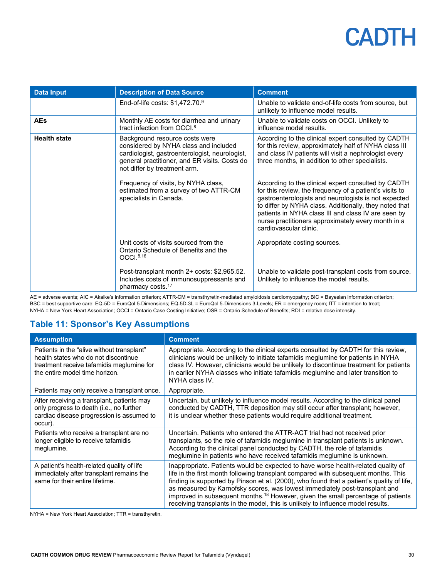| <b>Data Input</b>   | <b>Description of Data Source</b>                                                                                                                                                                          | <b>Comment</b>                                                                                                                                                                                                                                                                                                                                                          |
|---------------------|------------------------------------------------------------------------------------------------------------------------------------------------------------------------------------------------------------|-------------------------------------------------------------------------------------------------------------------------------------------------------------------------------------------------------------------------------------------------------------------------------------------------------------------------------------------------------------------------|
|                     | End-of-life costs: $$1,472.70.9$                                                                                                                                                                           | Unable to validate end-of-life costs from source, but<br>unlikely to influence model results.                                                                                                                                                                                                                                                                           |
| <b>AEs</b>          | Monthly AE costs for diarrhea and urinary<br>tract infection from OCCI. <sup>8</sup>                                                                                                                       | Unable to validate costs on OCCI. Unlikely to<br>influence model results.                                                                                                                                                                                                                                                                                               |
| <b>Health state</b> | Background resource costs were<br>considered by NYHA class and included<br>cardiologist, gastroenterologist, neurologist,<br>general practitioner, and ER visits. Costs do<br>not differ by treatment arm. | According to the clinical expert consulted by CADTH<br>for this review, approximately half of NYHA class III<br>and class IV patients will visit a nephrologist every<br>three months, in addition to other specialists.                                                                                                                                                |
|                     | Frequency of visits, by NYHA class,<br>estimated from a survey of two ATTR-CM<br>specialists in Canada.                                                                                                    | According to the clinical expert consulted by CADTH<br>for this review, the frequency of a patient's visits to<br>gastroenterologists and neurologists is not expected<br>to differ by NYHA class. Additionally, they noted that<br>patients in NYHA class III and class IV are seen by<br>nurse practitioners approximately every month in a<br>cardiovascular clinic. |
|                     | Unit costs of visits sourced from the<br>Ontario Schedule of Benefits and the<br>OCCI. <sup>8,16</sup>                                                                                                     | Appropriate costing sources.                                                                                                                                                                                                                                                                                                                                            |
|                     | Post-transplant month 2+ costs: \$2,965.52.<br>Includes costs of immunosuppressants and<br>pharmacy costs. <sup>17</sup>                                                                                   | Unable to validate post-transplant costs from source.<br>Unlikely to influence the model results.                                                                                                                                                                                                                                                                       |

AE = adverse events; AIC = Akaike's information criterion; ATTR-CM = transthyretin-mediated amyloidosis cardiomyopathy; BIC = Bayesian information criterion; BSC = best supportive care; EQ-5D = EuroQol 5-Dimensions; EQ-5D-3L = EuroQol 5-Dimensions 3-Levels; ER = emergency room; ITT = intention to treat; NYHA = New York Heart Association; OCCI = Ontario Case Costing Initiative; OSB = Ontario Schedule of Benefits; RDI = relative dose intensity.

### <span id="page-29-0"></span>**Table 11: Sponsor's Key Assumptions**

| <b>Assumption</b>                                                                                                                                                 | <b>Comment</b>                                                                                                                                                                                                                                                                                                                                                                                                                                                                                                                          |
|-------------------------------------------------------------------------------------------------------------------------------------------------------------------|-----------------------------------------------------------------------------------------------------------------------------------------------------------------------------------------------------------------------------------------------------------------------------------------------------------------------------------------------------------------------------------------------------------------------------------------------------------------------------------------------------------------------------------------|
| Patients in the "alive without transplant"<br>health states who do not discontinue<br>treatment receive tafamidis meglumine for<br>the entire model time horizon. | Appropriate. According to the clinical experts consulted by CADTH for this review,<br>clinicians would be unlikely to initiate tafamidis meglumine for patients in NYHA<br>class IV. However, clinicians would be unlikely to discontinue treatment for patients<br>in earlier NYHA classes who initiate tafamidis meglumine and later transition to<br>NYHA class IV.                                                                                                                                                                  |
| Patients may only receive a transplant once.                                                                                                                      | Appropriate.                                                                                                                                                                                                                                                                                                                                                                                                                                                                                                                            |
| After receiving a transplant, patients may<br>only progress to death (i.e., no further<br>cardiac disease progression is assumed to<br>occur).                    | Uncertain, but unlikely to influence model results. According to the clinical panel<br>conducted by CADTH, TTR deposition may still occur after transplant; however,<br>it is unclear whether these patients would require additional treatment.                                                                                                                                                                                                                                                                                        |
| Patients who receive a transplant are no<br>longer eligible to receive tafamidis<br>meglumine.                                                                    | Uncertain. Patients who entered the ATTR-ACT trial had not received prior<br>transplants, so the role of tafamidis meglumine in transplant patients is unknown.<br>According to the clinical panel conducted by CADTH, the role of tafamidis<br>meglumine in patients who have received tafamidis meglumine is unknown.                                                                                                                                                                                                                 |
| A patient's health-related quality of life<br>immediately after transplant remains the<br>same for their entire lifetime.                                         | Inappropriate. Patients would be expected to have worse health-related quality of<br>life in the first month following transplant compared with subsequent months. This<br>finding is supported by Pinson et al. (2000), who found that a patient's quality of life,<br>as measured by Karnofsky scores, was lowest immediately post-transplant and<br>improved in subsequent months. <sup>18</sup> However, given the small percentage of patients<br>receiving transplants in the model, this is unlikely to influence model results. |

NYHA = New York Heart Association; TTR = transthyretin.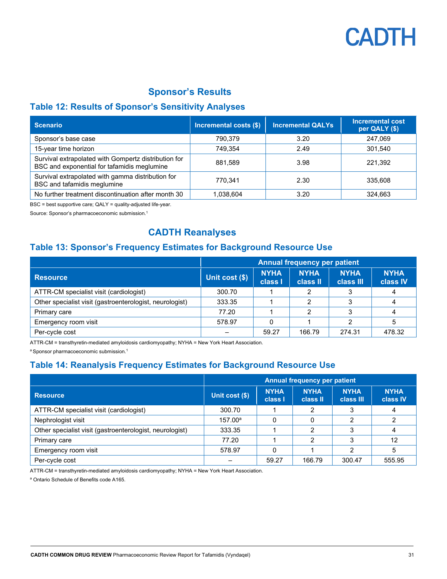

#### **Sponsor's Results**

#### <span id="page-30-0"></span>**Table 12: Results of Sponsor's Sensitivity Analyses**

| <b>Scenario</b>                                                                                     | Incremental costs (\$) | <b>Incremental QALYs</b> | <b>Incremental cost</b><br>per QALY (\$) |
|-----------------------------------------------------------------------------------------------------|------------------------|--------------------------|------------------------------------------|
| Sponsor's base case                                                                                 | 790,379                | 3.20                     | 247,069                                  |
| 15-year time horizon                                                                                | 749.354                | 2.49                     | 301,540                                  |
| Survival extrapolated with Gompertz distribution for<br>BSC and exponential for tafamidis meglumine | 881.589                | 3.98                     | 221.392                                  |
| Survival extrapolated with gamma distribution for<br>BSC and tafamidis meglumine                    | 770.341                | 2.30                     | 335,608                                  |
| No further treatment discontinuation after month 30                                                 | 1,038,604              | 3.20                     | 324,663                                  |

BSC = best supportive care; QALY = quality-adjusted life-year.

Source: Sponsor's pharmacoeconomic submission.1

#### **CADTH Reanalyses**

#### <span id="page-30-1"></span>**Table 13: Sponsor's Frequency Estimates for Background Resource Use**

|                                                          | <b>Annual frequency per patient</b> |                        |                         |                          |                         |  |
|----------------------------------------------------------|-------------------------------------|------------------------|-------------------------|--------------------------|-------------------------|--|
| <b>Resource</b>                                          | Unit cost (\$)                      | <b>NYHA</b><br>class I | <b>NYHA</b><br>class II | <b>NYHA</b><br>class III | <b>NYHA</b><br>class IV |  |
| ATTR-CM specialist visit (cardiologist)                  | 300.70                              |                        | 2                       | 3                        |                         |  |
| Other specialist visit (gastroenterologist, neurologist) | 333.35                              |                        | າ                       | 3                        |                         |  |
| Primary care                                             | 77.20                               |                        | 2                       | 3                        | 4                       |  |
| Emergency room visit                                     | 578.97                              |                        |                         |                          |                         |  |
| Per-cycle cost                                           |                                     | 59.27                  | 166.79                  | 274.31                   | 478.32                  |  |

ATTR-CM = transthyretin-mediated amyloidosis cardiomyopathy; NYHA = New York Heart Association.

a Sponsor pharmacoeconomic submission.<sup>1</sup>

### <span id="page-30-2"></span>**Table 14: Reanalysis Frequency Estimates for Background Resource Use**

|                                                          | <b>Annual frequency per patient</b> |                        |                         |                          |                         |  |  |
|----------------------------------------------------------|-------------------------------------|------------------------|-------------------------|--------------------------|-------------------------|--|--|
| <b>Resource</b>                                          | Unit cost (\$)                      | <b>NYHA</b><br>class I | <b>NYHA</b><br>class II | <b>NYHA</b><br>class III | <b>NYHA</b><br>class IV |  |  |
| ATTR-CM specialist visit (cardiologist)                  | 300.70                              |                        | 2                       | 3                        | 4                       |  |  |
| Nephrologist visit                                       | 157.00 <sup>a</sup>                 | 0                      | 0                       | っ                        |                         |  |  |
| Other specialist visit (gastroenterologist, neurologist) | 333.35                              |                        | 2                       | 3                        | 4                       |  |  |
| Primary care                                             | 77.20                               |                        | っ                       | 3                        | 12                      |  |  |
| Emergency room visit                                     | 578.97                              |                        |                         | ∩                        |                         |  |  |
| Per-cycle cost                                           |                                     | 59.27                  | 166.79                  | 300.47                   | 555.95                  |  |  |

ATTR-CM = transthyretin-mediated amyloidosis cardiomyopathy; NYHA = New York Heart Association.

<sup>a</sup> Ontario Schedule of Benefits code A165.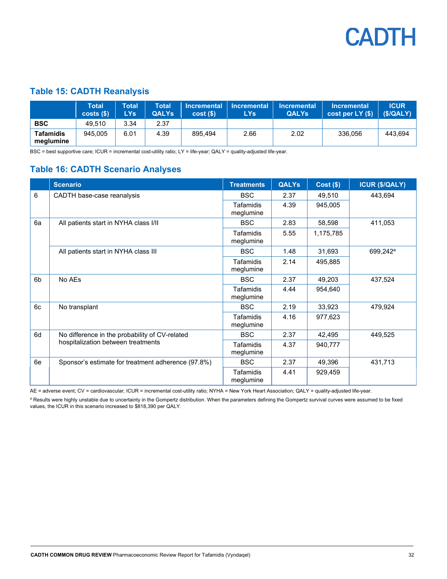

#### <span id="page-31-0"></span>**Table 15: CADTH Reanalysis**

|                               | Total<br>costs(S) | <b>Total</b><br><b>LYs</b> | <b>Total</b><br><b>QALYs</b> | cost(S) | $\blacksquare$ Incremental $\blacksquare$ Incremental $\blacksquare$<br>LYs | <b>Incremental</b><br><b>QALYs</b> | <b>∖Incremental</b><br>$\vert \text{cost per LY ($)} \vert$ (\$/QALY) | <b>ICUR</b> |
|-------------------------------|-------------------|----------------------------|------------------------------|---------|-----------------------------------------------------------------------------|------------------------------------|-----------------------------------------------------------------------|-------------|
| <b>BSC</b>                    | 49.510            | 3.34                       | 2.37                         |         |                                                                             |                                    |                                                                       |             |
| <b>Tafamidis</b><br>meglumine | 945.005           | 6.01                       | 4.39                         | 895.494 | 2.66                                                                        | 2.02                               | 336.056                                                               | 443.694     |

BSC = best supportive care; ICUR = incremental cost-utility ratio; LY = life-year; QALY = quality-adjusted life-year.

#### <span id="page-31-1"></span>**Table 16: CADTH Scenario Analyses**

|    | <b>Scenario</b>                                                                      | <b>Treatments</b>             | <b>QALYs</b> | $Cost($ \$) | <b>ICUR (\$/QALY)</b> |  |
|----|--------------------------------------------------------------------------------------|-------------------------------|--------------|-------------|-----------------------|--|
| 6  | CADTH base-case reanalysis                                                           | <b>BSC</b>                    | 2.37         | 49,510      | 443,694               |  |
|    |                                                                                      | <b>Tafamidis</b><br>meglumine | 4.39         | 945,005     |                       |  |
| 6a | All patients start in NYHA class I/II                                                | <b>BSC</b>                    | 2.83         | 58,598      | 411,053               |  |
|    |                                                                                      | <b>Tafamidis</b><br>meglumine | 5.55         | 1,175,785   |                       |  |
|    | All patients start in NYHA class III                                                 | <b>BSC</b>                    | 1.48         | 31,693      | 699,242 <sup>a</sup>  |  |
|    |                                                                                      | <b>Tafamidis</b><br>meglumine | 2.14         | 495,885     |                       |  |
| 6b | No AEs                                                                               | <b>BSC</b>                    | 2.37         | 49,203      | 437,524               |  |
|    |                                                                                      | <b>Tafamidis</b><br>meglumine | 4.44         | 954,640     |                       |  |
| 6c | No transplant                                                                        | <b>BSC</b>                    | 2.19         | 33,923      | 479,924               |  |
|    |                                                                                      | Tafamidis<br>meglumine        | 4.16         | 977,623     |                       |  |
| 6d | No difference in the probability of CV-related<br>hospitalization between treatments | <b>BSC</b>                    | 2.37         | 42,495      | 449,525               |  |
|    |                                                                                      | Tafamidis<br>meglumine        | 4.37         | 940,777     |                       |  |
| 6e | Sponsor's estimate for treatment adherence (97.8%)                                   | <b>BSC</b>                    | 2.37         | 49,396      | 431,713               |  |
|    |                                                                                      | Tafamidis<br>meglumine        | 4.41         | 929,459     |                       |  |

AE = adverse event; CV = cardiovascular; ICUR = incremental cost-utility ratio; NYHA = New York Heart Association; QALY = quality-adjusted life-year.

<sup>a</sup> Results were highly unstable due to uncertainty in the Gompertz distribution. When the parameters defining the Gompertz survival curves were assumed to be fixed values, the ICUR in this scenario increased to \$818,390 per QALY.